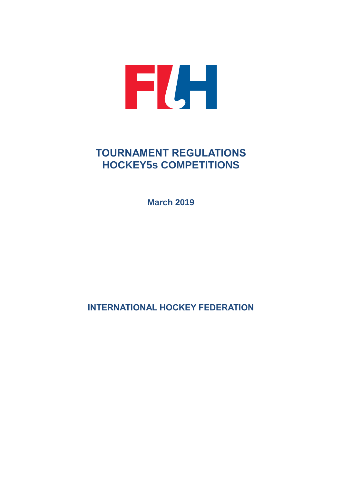

# **TOURNAMENT REGULATIONS HOCKEY5s COMPETITIONS**

**March 2019**

**INTERNATIONAL HOCKEY FEDERATION**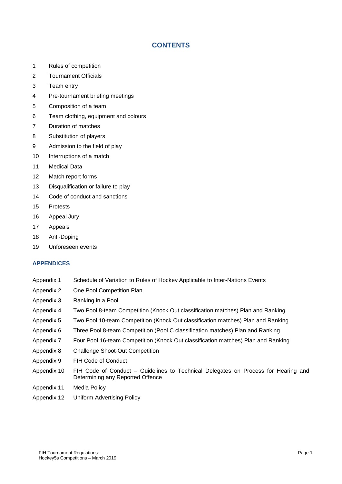# **CONTENTS**

- 1 Rules of competition
- 2 Tournament Officials
- 3 Team entry
- 4 Pre-tournament briefing meetings
- 5 Composition of a team
- 6 Team clothing, equipment and colours
- 7 Duration of matches
- 8 Substitution of players
- 9 Admission to the field of play
- 10 Interruptions of a match
- 11 Medical Data
- 12 Match report forms
- 13 Disqualification or failure to play
- 14 Code of conduct and sanctions
- 15 Protests
- 16 Appeal Jury
- 17 Appeals
- 18 Anti-Doping
- 19 Unforeseen events

# **APPENDICES**

- Appendix 1 Schedule of Variation to Rules of Hockey Applicable to Inter-Nations Events
- Appendix 2 One Pool Competition Plan
- Appendix 3 Ranking in a Pool
- Appendix 4 Two Pool 8-team Competition (Knock Out classification matches) Plan and Ranking
- Appendix 5 Two Pool 10-team Competition (Knock Out classification matches) Plan and Ranking
- Appendix 6 Three Pool 8-team Competition (Pool C classification matches) Plan and Ranking
- Appendix 7 Four Pool 16-team Competition (Knock Out classification matches) Plan and Ranking
- Appendix 8 Challenge Shoot-Out Competition
- Appendix 9 FIH Code of Conduct
- Appendix 10 FIH Code of Conduct Guidelines to Technical Delegates on Process for Hearing and Determining any Reported Offence
- Appendix 11 Media Policy
- Appendix 12 Uniform Advertising Policy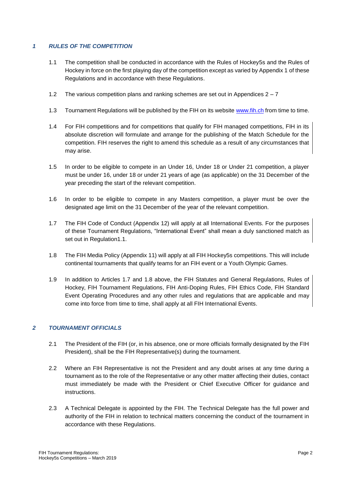# *1 RULES OF THE COMPETITION*

- 1.1 The competition shall be conducted in accordance with the Rules of Hockey5s and the Rules of Hockey in force on the first playing day of the competition except as varied by Appendix 1 of these Regulations and in accordance with these Regulations.
- 1.2 The various competition plans and ranking schemes are set out in Appendices 2 7
- 1.3 Tournament Regulations will be published by the FIH on its website [www.fih.ch](http://www.fih.ch/) from time to time.
- 1.4 For FIH competitions and for competitions that qualify for FIH managed competitions, FIH in its absolute discretion will formulate and arrange for the publishing of the Match Schedule for the competition. FIH reserves the right to amend this schedule as a result of any circumstances that may arise.
- 1.5 In order to be eligible to compete in an Under 16, Under 18 or Under 21 competition, a player must be under 16, under 18 or under 21 years of age (as applicable) on the 31 December of the year preceding the start of the relevant competition.
- 1.6 In order to be eligible to compete in any Masters competition, a player must be over the designated age limit on the 31 December of the year of the relevant competition.
- 1.7 The FIH Code of Conduct (Appendix 12) will apply at all International Events. For the purposes of these Tournament Regulations, "International Event" shall mean a duly sanctioned match as set out in Regulation1.1.
- 1.8 The FIH Media Policy (Appendix 11) will apply at all FIH Hockey5s competitions. This will include continental tournaments that qualify teams for an FIH event or a Youth Olympic Games.
- 1.9 In addition to Articles 1.7 and 1.8 above, the FIH Statutes and General Regulations, Rules of Hockey, FIH Tournament Regulations, FIH Anti-Doping Rules, FIH Ethics Code, FIH Standard Event Operating Procedures and any other rules and regulations that are applicable and may come into force from time to time, shall apply at all FIH International Events.

# *2 TOURNAMENT OFFICIALS*

- 2.1 The President of the FIH (or, in his absence, one or more officials formally designated by the FIH President), shall be the FIH Representative(s) during the tournament.
- 2.2 Where an FIH Representative is not the President and any doubt arises at any time during a tournament as to the role of the Representative or any other matter affecting their duties, contact must immediately be made with the President or Chief Executive Officer for guidance and instructions.
- 2.3 A Technical Delegate is appointed by the FIH. The Technical Delegate has the full power and authority of the FIH in relation to technical matters concerning the conduct of the tournament in accordance with these Regulations.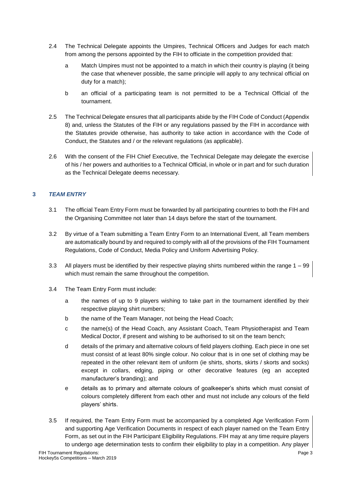- 2.4 The Technical Delegate appoints the Umpires, Technical Officers and Judges for each match from among the persons appointed by the FIH to officiate in the competition provided that:
	- a Match Umpires must not be appointed to a match in which their country is playing (it being the case that whenever possible, the same principle will apply to any technical official on duty for a match);
	- b an official of a participating team is not permitted to be a Technical Official of the tournament.
- 2.5 The Technical Delegate ensures that all participants abide by the FIH Code of Conduct (Appendix 8) and, unless the Statutes of the FIH or any regulations passed by the FIH in accordance with the Statutes provide otherwise, has authority to take action in accordance with the Code of Conduct, the Statutes and / or the relevant regulations (as applicable).
- 2.6 With the consent of the FIH Chief Executive, the Technical Delegate may delegate the exercise of his / her powers and authorities to a Technical Official, in whole or in part and for such duration as the Technical Delegate deems necessary.

# **3** *TEAM ENTRY*

- 3.1 The official Team Entry Form must be forwarded by all participating countries to both the FIH and the Organising Committee not later than 14 days before the start of the tournament.
- 3.2 By virtue of a Team submitting a Team Entry Form to an International Event, all Team members are automatically bound by and required to comply with all of the provisions of the FIH Tournament Regulations, Code of Conduct, Media Policy and Uniform Advertising Policy.
- 3.3 All players must be identified by their respective playing shirts numbered within the range 1 99 which must remain the same throughout the competition.
- 3.4 The Team Entry Form must include:
	- a the names of up to 9 players wishing to take part in the tournament identified by their respective playing shirt numbers;
	- b the name of the Team Manager, not being the Head Coach;
	- c the name(s) of the Head Coach, any Assistant Coach, Team Physiotherapist and Team Medical Doctor, if present and wishing to be authorised to sit on the team bench;
	- d details of the primary and alternative colours of field players clothing. Each piece in one set must consist of at least 80% single colour. No colour that is in one set of clothing may be repeated in the other relevant item of uniform (ie shirts, shorts, skirts / skorts and socks) except in collars, edging, piping or other decorative features (eg an accepted manufacturer's branding); and
	- e details as to primary and alternate colours of goalkeeper's shirts which must consist of colours completely different from each other and must not include any colours of the field players' shirts.
- 3.5 If required, the Team Entry Form must be accompanied by a completed Age Verification Form and supporting Age Verification Documents in respect of each player named on the Team Entry Form, as set out in the FIH Participant Eligibility Regulations. FIH may at any time require players to undergo age determination tests to confirm their eligibility to play in a competition. Any player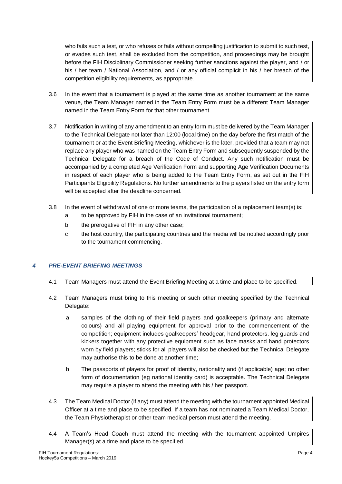who fails such a test, or who refuses or fails without compelling justification to submit to such test, or evades such test, shall be excluded from the competition, and proceedings may be brought before the FIH Disciplinary Commissioner seeking further sanctions against the player, and / or his / her team / National Association, and / or any official complicit in his / her breach of the competition eligibility requirements, as appropriate.

- 3.6 In the event that a tournament is played at the same time as another tournament at the same venue, the Team Manager named in the Team Entry Form must be a different Team Manager named in the Team Entry Form for that other tournament.
- 3.7 Notification in writing of any amendment to an entry form must be delivered by the Team Manager to the Technical Delegate not later than 12:00 (local time) on the day before the first match of the tournament or at the Event Briefing Meeting, whichever is the later, provided that a team may not replace any player who was named on the Team Entry Form and subsequently suspended by the Technical Delegate for a breach of the Code of Conduct. Any such notification must be accompanied by a completed Age Verification Form and supporting Age Verification Documents in respect of each player who is being added to the Team Entry Form, as set out in the FIH Participants Eligibility Regulations. No further amendments to the players listed on the entry form will be accepted after the deadline concerned.
- 3.8 In the event of withdrawal of one or more teams, the participation of a replacement team(s) is:
	- a to be approved by FIH in the case of an invitational tournament;
	- b the prerogative of FIH in any other case;
	- c the host country, the participating countries and the media will be notified accordingly prior to the tournament commencing.

# *4 PRE-EVENT BRIEFING MEETINGS*

- 4.1 Team Managers must attend the Event Briefing Meeting at a time and place to be specified.
- 4.2 Team Managers must bring to this meeting or such other meeting specified by the Technical Delegate:
	- a samples of the clothing of their field players and goalkeepers (primary and alternate colours) and all playing equipment for approval prior to the commencement of the competition; equipment includes goalkeepers' headgear, hand protectors, leg guards and kickers together with any protective equipment such as face masks and hand protectors worn by field players; sticks for all players will also be checked but the Technical Delegate may authorise this to be done at another time;
	- b The passports of players for proof of identity, nationality and (if applicable) age; no other form of documentation (eg national identity card) is acceptable. The Technical Delegate may require a player to attend the meeting with his / her passport.
- 4.3 The Team Medical Doctor (if any) must attend the meeting with the tournament appointed Medical Officer at a time and place to be specified. If a team has not nominated a Team Medical Doctor, the Team Physiotherapist or other team medical person must attend the meeting.
- 4.4 A Team's Head Coach must attend the meeting with the tournament appointed Umpires Manager(s) at a time and place to be specified.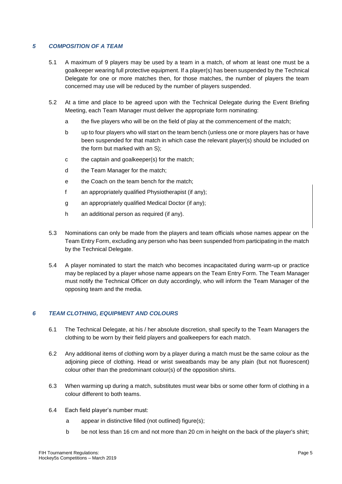# *5 COMPOSITION OF A TEAM*

- 5.1 A maximum of 9 players may be used by a team in a match, of whom at least one must be a goalkeeper wearing full protective equipment. If a player(s) has been suspended by the Technical Delegate for one or more matches then, for those matches, the number of players the team concerned may use will be reduced by the number of players suspended.
- 5.2 At a time and place to be agreed upon with the Technical Delegate during the Event Briefing Meeting, each Team Manager must deliver the appropriate form nominating:
	- a the five players who will be on the field of play at the commencement of the match;
	- b up to four players who will start on the team bench (unless one or more players has or have been suspended for that match in which case the relevant player(s) should be included on the form but marked with an S);
	- c the captain and goalkeeper(s) for the match;
	- d the Team Manager for the match;
	- e the Coach on the team bench for the match;
	- f an appropriately qualified Physiotherapist (if any);
	- g an appropriately qualified Medical Doctor (if any);
	- h an additional person as required (if any).
- 5.3 Nominations can only be made from the players and team officials whose names appear on the Team Entry Form, excluding any person who has been suspended from participating in the match by the Technical Delegate.
- 5.4 A player nominated to start the match who becomes incapacitated during warm-up or practice may be replaced by a player whose name appears on the Team Entry Form. The Team Manager must notify the Technical Officer on duty accordingly, who will inform the Team Manager of the opposing team and the media.

# *6 TEAM CLOTHING, EQUIPMENT AND COLOURS*

- 6.1 The Technical Delegate, at his / her absolute discretion, shall specify to the Team Managers the clothing to be worn by their field players and goalkeepers for each match.
- 6.2 Any additional items of clothing worn by a player during a match must be the same colour as the adjoining piece of clothing. Head or wrist sweatbands may be any plain (but not fluorescent) colour other than the predominant colour(s) of the opposition shirts.
- 6.3 When warming up during a match, substitutes must wear bibs or some other form of clothing in a colour different to both teams.
- 6.4 Each field player's number must:
	- a appear in distinctive filled (not outlined) figure(s);
	- b be not less than 16 cm and not more than 20 cm in height on the back of the player's shirt;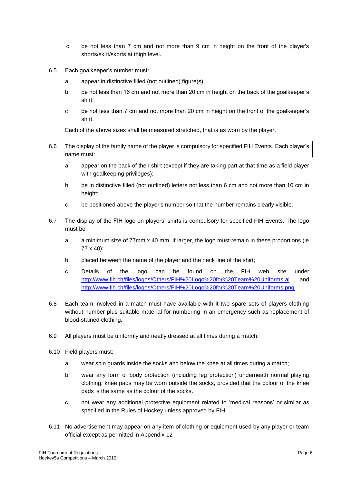- c be not less than 7 cm and not more than 9 cm in height on the front of the player's shorts/skirt/skorts at thigh level.
- 6.5 Each goalkeeper's number must:
	- a appear in distinctive filled (not outlined) figure(s);
	- b be not less than 16 cm and not more than 20 cm in height on the back of the goalkeeper's shirt;
	- c be not less than 7 cm and not more than 20 cm in height on the front of the goalkeeper's shirt.

Each of the above sizes shall be measured stretched, that is as worn by the player.

- 6.6 The display of the family name of the player is compulsory for specified FIH Events. Each player's name must:
	- a appear on the back of their shirt (except if they are taking part at that time as a field player with goalkeeping privileges);
	- b be in distinctive filled (not outlined) letters not less than 6 cm and not more than 10 cm in height;
	- c be positioned above the player's number so that the number remains clearly visible.
- 6.7 The display of the FIH logo on players' shirts is compulsory for specified FIH Events. The logo must be
	- a a minimum size of 77mm x 40 mm. If larger, the logo must remain in these proportions (ie 77 x 40);
	- b placed between the name of the player and the neck line of the shirt;
	- c Details of the logo can be found on the FIH web site under [http://www.fih.ch/files/logos/Others/FIH%20Logo%20for%20Team%20Uniforms.a](http://www.fih.ch/files/logos/Others/FIH%20Logo%20for%20Team%20Uniforms.)i and <http://www.fih.ch/files/logos/Others/FIH%20Logo%20for%20Team%20Uniforms.png>
- 6.8 Each team involved in a match must have available with it two spare sets of players clothing without number plus suitable material for numbering in an emergency such as replacement of blood-stained clothing.
- 6.9 All players must be uniformly and neatly dressed at all times during a match.
- 6.10 Field players must:
	- a wear shin guards inside the socks and below the knee at all times during a match;
	- b wear any form of body protection (including leg protection) underneath normal playing clothing; knee pads may be worn outside the socks, provided that the colour of the knee pads is the same as the colour of the socks.
	- c not wear any additional protective equipment related to 'medical reasons' or similar as specified in the Rules of Hockey unless approved by FIH.
- 6.11 No advertisement may appear on any item of clothing or equipment used by any player or team official except as permitted in Appendix 12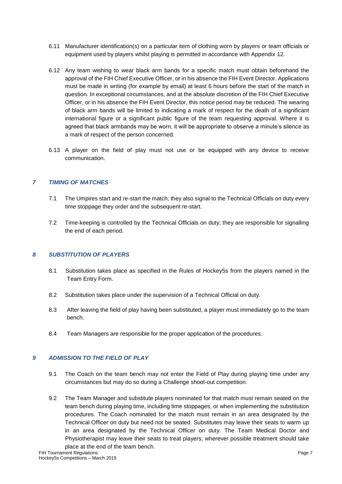- 6.11 Manufacturer identification(s) on a particular item of clothing worn by players or team officials or equipment used by players whilst playing is permitted in accordance with Appendix 12.
- 6.12 Any team wishing to wear black arm bands for a specific match must obtain beforehand the approval of the FIH Chief Executive Officer, or in his absence the FIH Event Director. Applications must be made in writing (for example by email) at least 6 hours before the start of the match in question. In exceptional circumstances, and at the absolute discretion of the FIH Chief Executive Officer, or in his absence the FIH Event Director, this notice period may be reduced. The wearing of black arm bands will be limited to indicating a mark of respect for the death of a significant international figure or a significant public figure of the team requesting approval. Where it is agreed that black armbands may be worn, it will be appropriate to observe a minute's silence as a mark of respect of the person concerned.
- 6.13 A player on the field of play must not use or be equipped with any device to receive communication.

# *7 TIMING OF MATCHES*

- 7.1 The Umpires start and re-start the match; they also signal to the Technical Officials on duty every time stoppage they order and the subsequent re-start.
- 7.2 Time-keeping is controlled by the Technical Officials on duty; they are responsible for signalling the end of each period.

# *8 SUBSTITUTION OF PLAYERS*

- 8.1 Substitution takes place as specified in the Rules of Hockey5s from the players named in the Team Entry Form.
- 8.2 Substitution takes place under the supervision of a Technical Official on duty.
- 8.3 After leaving the field of play having been substituted, a player must immediately go to the team bench.
- 8.4 Team Managers are responsible for the proper application of the procedures.

#### *9 ADMISSION TO THE FIELD OF PLAY*

- 9.1 The Coach on the team bench may not enter the Field of Play during playing time under any circumstances but may do so during a Challenge shoot-out competition.
- 9.2 The Team Manager and substitute players nominated for that match must remain seated on the team bench during playing time, including time stoppages, or when implementing the substitution procedures. The Coach nominated for the match must remain in an area designated by the Technical Officer on duty but need not be seated. Substitutes may leave their seats to warm up in an area designated by the Technical Officer on duty. The Team Medical Doctor and Physiotherapist may leave their seats to treat players; wherever possible treatment should take place at the end of the team bench.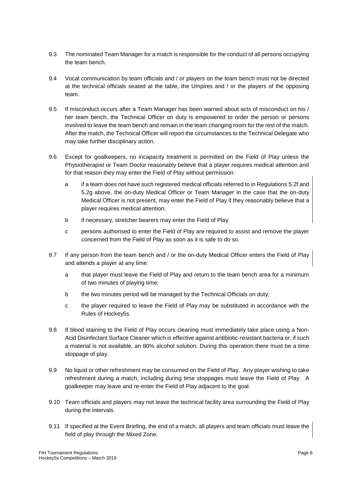- 9.3 The nominated Team Manager for a match is responsible for the conduct of all persons occupying the team bench.
- 9.4 Vocal communication by team officials and / or players on the team bench must not be directed at the technical officials seated at the table, the Umpires and / or the players of the opposing team.
- 9.5 If misconduct occurs after a Team Manager has been warned about acts of misconduct on his / her team bench, the Technical Officer on duty is empowered to order the person or persons involved to leave the team bench and remain in the team changing room for the rest of the match. After the match, the Technical Officer will report the circumstances to the Technical Delegate who may take further disciplinary action.
- 9.6 Except for goalkeepers, no incapacity treatment is permitted on the Field of Play unless the Physiotherapist or Team Doctor reasonably believe that a player requires medical attention and for that reason they may enter the Field of Play without permission:
	- a if a team does not have such registered medical officials referred to in Regulations 5.2f and 5.2g above, the on-duty Medical Officer or Team Manager in the case that the on-duty Medical Officer is not present, may enter the Field of Play if they reasonably believe that a player requires medical attention;
	- b if necessary, stretcher bearers may enter the Field of Play
	- c persons authorised to enter the Field of Play are required to assist and remove the player concerned from the Field of Play as soon as it is safe to do so.
- 9.7 If any person from the team bench and / or the on-duty Medical Officer enters the Field of Play and attends a player at any time:
	- a that player must leave the Field of Play and return to the team bench area for a minimum of two minutes of playing time;
	- b the two minutes period will be managed by the Technical Officials on duty;
	- c the player required to leave the Field of Play may be substituted in accordance with the Rules of Hockey5s.
- 9.8 If blood staining to the Field of Play occurs cleaning must immediately take place using a Non-Acid Disinfectant Surface Cleaner which is effective against antibiotic-resistant bacteria or, if such a material is not available, an 80% alcohol solution. During this operation there must be a time stoppage of play.
- 9.9 No liquid or other refreshment may be consumed on the Field of Play. Any player wishing to take refreshment during a match, including during time stoppages must leave the Field of Play. A goalkeeper may leave and re-enter the Field of Play adjacent to the goal.
- 9.10 Team officials and players may not leave the technical facility area surrounding the Field of Play during the intervals.
- 9.11 If specified at the Event Briefing, the end of a match, all players and team officials must leave the field of play through the Mixed Zone.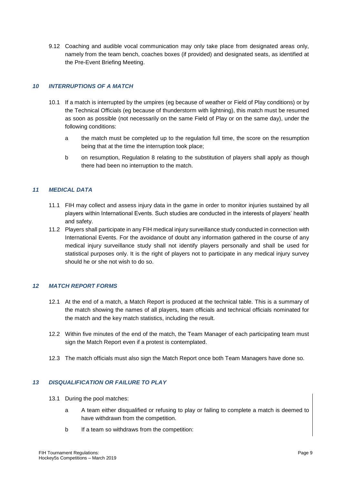9.12 Coaching and audible vocal communication may only take place from designated areas only, namely from the team bench, coaches boxes (if provided) and designated seats, as identified at the Pre-Event Briefing Meeting.

# *10 INTERRUPTIONS OF A MATCH*

- 10.1 If a match is interrupted by the umpires (eg because of weather or Field of Play conditions) or by the Technical Officials (eg because of thunderstorm with lightning), this match must be resumed as soon as possible (not necessarily on the same Field of Play or on the same day), under the following conditions:
	- a the match must be completed up to the regulation full time, the score on the resumption being that at the time the interruption took place;
	- b on resumption, Regulation 8 relating to the substitution of players shall apply as though there had been no interruption to the match.

# *11 MEDICAL DATA*

- 11.1 FIH may collect and assess injury data in the game in order to monitor injuries sustained by all players within International Events. Such studies are conducted in the interests of players' health and safety.
- 11.2 Players shall participate in any FIH medical injury surveillance study conducted in connection with International Events. For the avoidance of doubt any information gathered in the course of any medical injury surveillance study shall not identify players personally and shall be used for statistical purposes only. It is the right of players not to participate in any medical injury survey should he or she not wish to do so.

# *12 MATCH REPORT FORMS*

- 12.1 At the end of a match, a Match Report is produced at the technical table. This is a summary of the match showing the names of all players, team officials and technical officials nominated for the match and the key match statistics, including the result.
- 12.2 Within five minutes of the end of the match, the Team Manager of each participating team must sign the Match Report even if a protest is contemplated.
- 12.3 The match officials must also sign the Match Report once both Team Managers have done so.

# *13 DISQUALIFICATION OR FAILURE TO PLAY*

- 13.1 During the pool matches:
	- a A team either disqualified or refusing to play or failing to complete a match is deemed to have withdrawn from the competition.
	- b If a team so withdraws from the competition: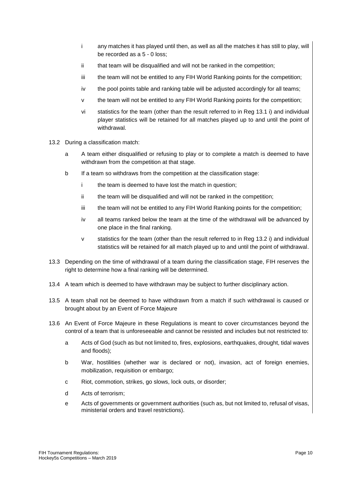- i any matches it has played until then, as well as all the matches it has still to play, will be recorded as a 5 - 0 loss;
- ii that team will be disqualified and will not be ranked in the competition;
- iii the team will not be entitled to any FIH World Ranking points for the competition;
- iv the pool points table and ranking table will be adjusted accordingly for all teams;
- v the team will not be entitled to any FIH World Ranking points for the competition;
- vi statistics for the team (other than the result referred to in Reg 13.1 i) and individual player statistics will be retained for all matches played up to and until the point of withdrawal.
- 13.2 During a classification match:
	- a A team either disqualified or refusing to play or to complete a match is deemed to have withdrawn from the competition at that stage.
	- b If a team so withdraws from the competition at the classification stage:
		- i the team is deemed to have lost the match in question;
		- ii the team will be disqualified and will not be ranked in the competition;
		- iii the team will not be entitled to any FIH World Ranking points for the competition;
		- iv all teams ranked below the team at the time of the withdrawal will be advanced by one place in the final ranking.
		- v statistics for the team (other than the result referred to in Reg 13.2 i) and individual statistics will be retained for all match played up to and until the point of withdrawal.
- 13.3 Depending on the time of withdrawal of a team during the classification stage, FIH reserves the right to determine how a final ranking will be determined.
- 13.4 A team which is deemed to have withdrawn may be subject to further disciplinary action.
- 13.5 A team shall not be deemed to have withdrawn from a match if such withdrawal is caused or brought about by an Event of Force Majeure
- 13.6 An Event of Force Majeure in these Regulations is meant to cover circumstances beyond the control of a team that is unforeseeable and cannot be resisted and includes but not restricted to:
	- a Acts of God (such as but not limited to, fires, explosions, earthquakes, drought, tidal waves and floods);
	- b War, hostilities (whether war is declared or not), invasion, act of foreign enemies, mobilization, requisition or embargo;
	- c Riot, commotion, strikes, go slows, lock outs, or disorder;
	- d Acts of terrorism;
	- e Acts of governments or government authorities (such as, but not limited to, refusal of visas, ministerial orders and travel restrictions).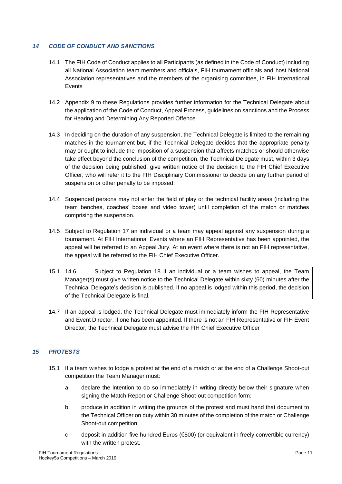# *14 CODE OF CONDUCT AND SANCTIONS*

- 14.1 The FIH Code of Conduct applies to all Participants (as defined in the Code of Conduct) including all National Association team members and officials, FIH tournament officials and host National Association representatives and the members of the organising committee, in FIH International **Events**
- 14.2 Appendix 9 to these Regulations provides further information for the Technical Delegate about the application of the Code of Conduct, Appeal Process, guidelines on sanctions and the Process for Hearing and Determining Any Reported Offence
- 14.3 In deciding on the duration of any suspension, the Technical Delegate is limited to the remaining matches in the tournament but, if the Technical Delegate decides that the appropriate penalty may or ought to include the imposition of a suspension that affects matches or should otherwise take effect beyond the conclusion of the competition, the Technical Delegate must, within 3 days of the decision being published, give written notice of the decision to the FIH Chief Executive Officer, who will refer it to the FIH Disciplinary Commissioner to decide on any further period of suspension or other penalty to be imposed.
- 14.4 Suspended persons may not enter the field of play or the technical facility areas (including the team benches, coaches' boxes and video tower) until completion of the match or matches comprising the suspension.
- 14.5 Subject to Regulation 17 an individual or a team may appeal against any suspension during a tournament. At FIH International Events where an FIH Representative has been appointed, the appeal will be referred to an Appeal Jury. At an event where there is not an FIH representative, the appeal will be referred to the FIH Chief Executive Officer.
- 15.1 14.6 Subject to Regulation 18 if an individual or a team wishes to appeal, the Team Manager(s) must give written notice to the Technical Delegate within sixty (60) minutes after the Technical Delegate's decision is published. If no appeal is lodged within this period, the decision of the Technical Delegate is final.
- 14.7 If an appeal is lodged, the Technical Delegate must immediately inform the FIH Representative and Event Director, if one has been appointed. If there is not an FIH Representative or FIH Event Director, the Technical Delegate must advise the FIH Chief Executive Officer

# *15 PROTESTS*

- 15.1 If a team wishes to lodge a protest at the end of a match or at the end of a Challenge Shoot-out competition the Team Manager must:
	- a declare the intention to do so immediately in writing directly below their signature when signing the Match Report or Challenge Shoot-out competition form;
	- b produce in addition in writing the grounds of the protest and must hand that document to the Technical Officer on duty within 30 minutes of the completion of the match or Challenge Shoot-out competition;
	- c deposit in addition five hundred Euros  $(\epsilon$ 500) (or equivalent in freely convertible currency) with the written protest.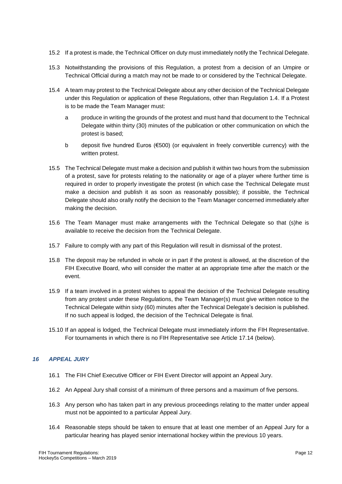- 15.2 If a protest is made, the Technical Officer on duty must immediately notify the Technical Delegate.
- 15.3 Notwithstanding the provisions of this Regulation, a protest from a decision of an Umpire or Technical Official during a match may not be made to or considered by the Technical Delegate.
- 15.4 A team may protest to the Technical Delegate about any other decision of the Technical Delegate under this Regulation or application of these Regulations, other than Regulation 1.4. If a Protest is to be made the Team Manager must:
	- a produce in writing the grounds of the protest and must hand that document to the Technical Delegate within thirty (30) minutes of the publication or other communication on which the protest is based;
	- b deposit five hundred Euros (€500) (or equivalent in freely convertible currency) with the written protest.
- 15.5 The Technical Delegate must make a decision and publish it within two hours from the submission of a protest, save for protests relating to the nationality or age of a player where further time is required in order to properly investigate the protest (in which case the Technical Delegate must make a decision and publish it as soon as reasonably possible); if possible, the Technical Delegate should also orally notify the decision to the Team Manager concerned immediately after making the decision.
- 15.6 The Team Manager must make arrangements with the Technical Delegate so that (s)he is available to receive the decision from the Technical Delegate.
- 15.7 Failure to comply with any part of this Regulation will result in dismissal of the protest.
- 15.8 The deposit may be refunded in whole or in part if the protest is allowed, at the discretion of the FIH Executive Board, who will consider the matter at an appropriate time after the match or the event.
- 15.9 If a team involved in a protest wishes to appeal the decision of the Technical Delegate resulting from any protest under these Regulations, the Team Manager(s) must give written notice to the Technical Delegate within sixty (60) minutes after the Technical Delegate's decision is published. If no such appeal is lodged, the decision of the Technical Delegate is final.
- 15.10 If an appeal is lodged, the Technical Delegate must immediately inform the FIH Representative. For tournaments in which there is no FIH Representative see Article 17.14 (below).

# *16 APPEAL JURY*

- 16.1 The FIH Chief Executive Officer or FIH Event Director will appoint an Appeal Jury.
- 16.2 An Appeal Jury shall consist of a minimum of three persons and a maximum of five persons.
- 16.3 Any person who has taken part in any previous proceedings relating to the matter under appeal must not be appointed to a particular Appeal Jury.
- 16.4 Reasonable steps should be taken to ensure that at least one member of an Appeal Jury for a particular hearing has played senior international hockey within the previous 10 years.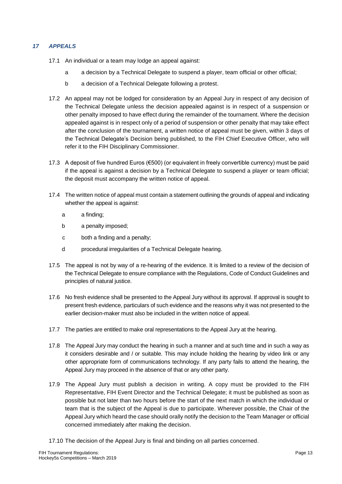# *17 APPEALS*

- 17.1 An individual or a team may lodge an appeal against:
	- a a decision by a Technical Delegate to suspend a player, team official or other official;
	- b a decision of a Technical Delegate following a protest.
- 17.2 An appeal may not be lodged for consideration by an Appeal Jury in respect of any decision of the Technical Delegate unless the decision appealed against is in respect of a suspension or other penalty imposed to have effect during the remainder of the tournament. Where the decision appealed against is in respect only of a period of suspension or other penalty that may take effect after the conclusion of the tournament, a written notice of appeal must be given, within 3 days of the Technical Delegate's Decision being published, to the FIH Chief Executive Officer, who will refer it to the FIH Disciplinary Commissioner.
- 17.3 A deposit of five hundred Euros (€500) (or equivalent in freely convertible currency) must be paid if the appeal is against a decision by a Technical Delegate to suspend a player or team official; the deposit must accompany the written notice of appeal.
- 17.4 The written notice of appeal must contain a statement outlining the grounds of appeal and indicating whether the appeal is against:
	- a a finding;
	- b a penalty imposed;
	- c both a finding and a penalty;
	- d procedural irregularities of a Technical Delegate hearing.
- 17.5 The appeal is not by way of a re-hearing of the evidence. It is limited to a review of the decision of the Technical Delegate to ensure compliance with the Regulations, Code of Conduct Guidelines and principles of natural justice.
- 17.6 No fresh evidence shall be presented to the Appeal Jury without its approval. If approval is sought to present fresh evidence, particulars of such evidence and the reasons why it was not presented to the earlier decision-maker must also be included in the written notice of appeal.
- 17.7 The parties are entitled to make oral representations to the Appeal Jury at the hearing.
- 17.8 The Appeal Jury may conduct the hearing in such a manner and at such time and in such a way as it considers desirable and / or suitable. This may include holding the hearing by video link or any other appropriate form of communications technology. If any party fails to attend the hearing, the Appeal Jury may proceed in the absence of that or any other party.
- 17.9 The Appeal Jury must publish a decision in writing. A copy must be provided to the FIH Representative, FIH Event Director and the Technical Delegate; it must be published as soon as possible but not later than two hours before the start of the next match in which the individual or team that is the subject of the Appeal is due to participate. Wherever possible, the Chair of the Appeal Jury which heard the case should orally notify the decision to the Team Manager or official concerned immediately after making the decision.
- 17.10 The decision of the Appeal Jury is final and binding on all parties concerned.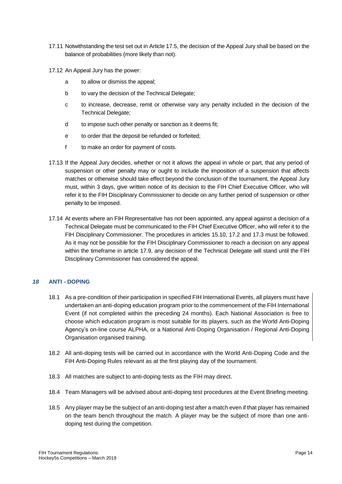- 17.11 Notwithstanding the test set out in Article 17.5, the decision of the Appeal Jury shall be based on the balance of probabilities (more likely than not).
- 17.12 An Appeal Jury has the power:
	- a to allow or dismiss the appeal;
	- b to vary the decision of the Technical Delegate;
	- c to increase, decrease, remit or otherwise vary any penalty included in the decision of the Technical Delegate;
	- d to impose such other penalty or sanction as it deems fit;
	- e to order that the deposit be refunded or forfeited;
	- f to make an order for payment of costs.
- 17.13 If the Appeal Jury decides, whether or not it allows the appeal in whole or part, that any period of suspension or other penalty may or ought to include the imposition of a suspension that affects matches or otherwise should take effect beyond the conclusion of the tournament, the Appeal Jury must, within 3 days, give written notice of its decision to the FIH Chief Executive Officer, who will refer it to the FIH Disciplinary Commissioner to decide on any further period of suspension or other penalty to be imposed.
- 17.14 At events where an FIH Representative has not been appointed, any appeal against a decision of a Technical Delegate must be communicated to the FIH Chief Executive Officer, who will refer it to the FIH Disciplinary Commissioner. The procedures in articles 15.10, 17.2 and 17.3 must be followed. As it may not be possible for the FIH Disciplinary Commissioner to reach a decision on any appeal within the timeframe in article 17.9, any decision of the Technical Delegate will stand until the FIH Disciplinary Commissioner has considered the appeal.

# *18* **ANTI - DOPING**

- 18.1 As a pre-condition of their participation in specified FIH International Events, all players must have undertaken an anti-doping education program prior to the commencement of the FIH International Event (if not completed within the preceding 24 months). Each National Association is free to choose which education program is most suitable for its players, such as the World Anti-Doping Agency's on-line course ALPHA, or a National Anti-Doping Organisation / Regional Anti-Doping Organisation organised training.
- 18.2 All anti-doping tests will be carried out in accordance with the World Anti-Doping Code and the FIH Anti-Doping Rules relevant as at the first playing day of the tournament.
- 18.3 All matches are subject to anti-doping tests as the FIH may direct.
- 18.4 Team Managers will be advised about anti-doping test procedures at the Event Briefing meeting.
- 18.5 Any player may be the subject of an anti-doping test after a match even if that player has remained on the team bench throughout the match. A player may be the subject of more than one antidoping test during the competition.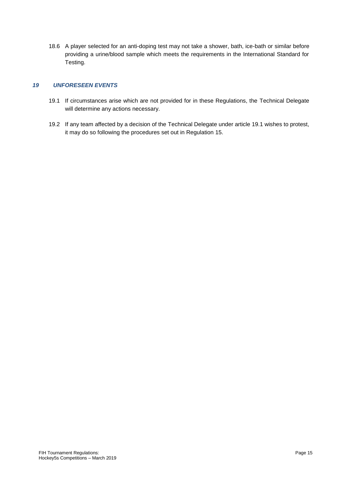18.6 A player selected for an anti-doping test may not take a shower, bath, ice-bath or similar before providing a urine/blood sample which meets the requirements in the International Standard for Testing.

# *19 UNFORESEEN EVENTS*

- 19.1 If circumstances arise which are not provided for in these Regulations, the Technical Delegate will determine any actions necessary.
- 19.2 If any team affected by a decision of the Technical Delegate under article 19.1 wishes to protest, it may do so following the procedures set out in Regulation 15.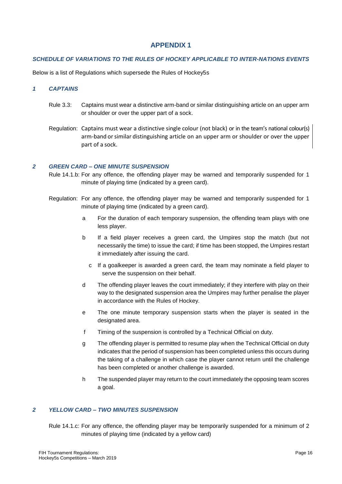#### *SCHEDULE OF VARIATIONS TO THE RULES OF HOCKEY APPLICABLE TO INTER-NATIONS EVENTS*

Below is a list of Regulations which supersede the Rules of Hockey5s

#### *1 CAPTAINS*

- Rule 3.3: Captains must wear a distinctive arm-band or similar distinguishing article on an upper arm or shoulder or over the upper part of a sock.
- Regulation: Captains must wear a distinctive single colour (not black) or in the team's national colour(s) arm-band orsimilar distinguishing article on an upper arm or shoulder or over the upper part of a sock.

#### *2 GREEN CARD – ONE MINUTE SUSPENSION*

- Rule 14.1.b: For any offence, the offending player may be warned and temporarily suspended for 1 minute of playing time (indicated by a green card).
- Regulation: For any offence, the offending player may be warned and temporarily suspended for 1 minute of playing time (indicated by a green card).
	- a For the duration of each temporary suspension, the offending team plays with one less player.
	- b If a field player receives a green card, the Umpires stop the match (but not necessarily the time) to issue the card; if time has been stopped, the Umpires restart it immediately after issuing the card.
		- c If a goalkeeper is awarded a green card, the team may nominate a field player to serve the suspension on their behalf.
	- d The offending player leaves the court immediately; if they interfere with play on their way to the designated suspension area the Umpires may further penalise the player in accordance with the Rules of Hockey.
	- e The one minute temporary suspension starts when the player is seated in the designated area.
	- f Timing of the suspension is controlled by a Technical Official on duty.
	- g The offending player is permitted to resume play when the Technical Official on duty indicates that the period of suspension has been completed unless this occurs during the taking of a challenge in which case the player cannot return until the challenge has been completed or another challenge is awarded.
	- h The suspended player may return to the court immediately the opposing team scores a goal.

#### *2 YELLOW CARD – TWO MINUTES SUSPENSION*

Rule 14.1.c: For any offence, the offending player may be temporarily suspended for a minimum of 2 minutes of playing time (indicated by a yellow card)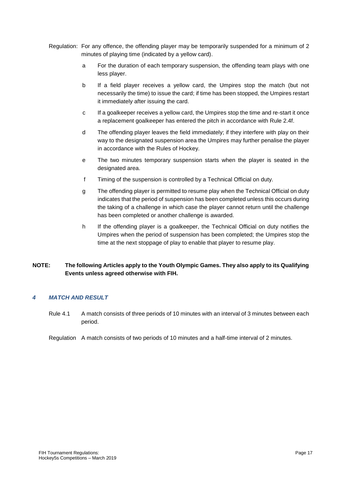- Regulation: For any offence, the offending player may be temporarily suspended for a minimum of 2 minutes of playing time (indicated by a yellow card).
	- a For the duration of each temporary suspension, the offending team plays with one less player.
	- b If a field player receives a yellow card, the Umpires stop the match (but not necessarily the time) to issue the card; if time has been stopped, the Umpires restart it immediately after issuing the card.
	- c If a goalkeeper receives a yellow card, the Umpires stop the time and re-start it once a replacement goalkeeper has entered the pitch in accordance with Rule 2.4f.
	- d The offending player leaves the field immediately; if they interfere with play on their way to the designated suspension area the Umpires may further penalise the player in accordance with the Rules of Hockey.
	- e The two minutes temporary suspension starts when the player is seated in the designated area.
	- f Timing of the suspension is controlled by a Technical Official on duty.
	- g The offending player is permitted to resume play when the Technical Official on duty indicates that the period of suspension has been completed unless this occurs during the taking of a challenge in which case the player cannot return until the challenge has been completed or another challenge is awarded.
	- h If the offending player is a goalkeeper, the Technical Official on duty notifies the Umpires when the period of suspension has been completed; the Umpires stop the time at the next stoppage of play to enable that player to resume play.

# **NOTE: The following Articles apply to the Youth Olympic Games. They also apply to its Qualifying Events unless agreed otherwise with FIH.**

# *4 MATCH AND RESULT*

Rule 4.1 A match consists of three periods of 10 minutes with an interval of 3 minutes between each period.

Regulation A match consists of two periods of 10 minutes and a half-time interval of 2 minutes.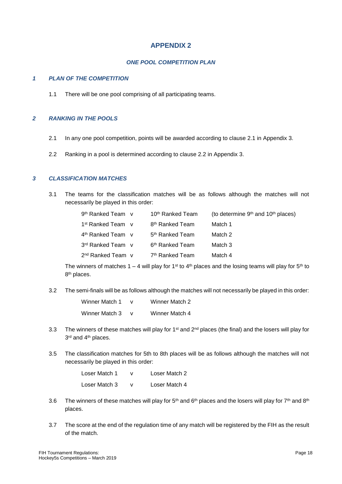### *ONE POOL COMPETITION PLAN*

#### *1 PLAN OF THE COMPETITION*

1.1 There will be one pool comprising of all participating teams.

# *2 RANKING IN THE POOLS*

- 2.1 In any one pool competition, points will be awarded according to clause 2.1 in Appendix 3.
- 2.2 Ranking in a pool is determined according to clause 2.2 in Appendix 3.

#### *3 CLASSIFICATION MATCHES*

3.1 The teams for the classification matches will be as follows although the matches will not necessarily be played in this order:

| 9 <sup>th</sup> Ranked Team v | 10 <sup>th</sup> Ranked Team | (to determine 9 <sup>th</sup> and 10 <sup>th</sup> places) |
|-------------------------------|------------------------------|------------------------------------------------------------|
| 1 <sup>st</sup> Ranked Team v | 8 <sup>th</sup> Ranked Team  | Match 1                                                    |
| 4 <sup>th</sup> Ranked Team v | 5 <sup>th</sup> Ranked Team  | Match 2                                                    |
| 3rd Ranked Team v             | 6 <sup>th</sup> Ranked Team  | Match 3                                                    |
| $2nd$ Ranked Team $\vee$      | 7 <sup>th</sup> Ranked Team  | Match 4                                                    |

The winners of matches 1 – 4 will play for 1<sup>st</sup> to 4<sup>th</sup> places and the losing teams will play for 5<sup>th</sup> to 8<sup>th</sup> places.

3.2 The semi-finals will be as follows although the matches will not necessarily be played in this order:

| Winner Match 1 | Winner Match 2 |
|----------------|----------------|
| Winner Match 3 | Winner Match 4 |

- 3.3 The winners of these matches will play for  $1<sup>st</sup>$  and  $2<sup>nd</sup>$  places (the final) and the losers will play for 3<sup>rd</sup> and 4<sup>th</sup> places.
- 3.5 The classification matches for 5th to 8th places will be as follows although the matches will not necessarily be played in this order:

| Loser Match 1 | Loser Match 2 |
|---------------|---------------|
| Loser Match 3 | Loser Match 4 |

- 3.6 The winners of these matches will play for  $5<sup>th</sup>$  and  $6<sup>th</sup>$  places and the losers will play for  $7<sup>th</sup>$  and  $8<sup>th</sup>$ places.
- 3.7 The score at the end of the regulation time of any match will be registered by the FIH as the result of the match.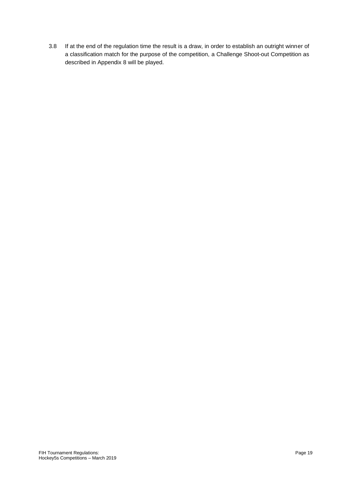3.8 If at the end of the regulation time the result is a draw, in order to establish an outright winner of a classification match for the purpose of the competition, a Challenge Shoot-out Competition as described in Appendix 8 will be played.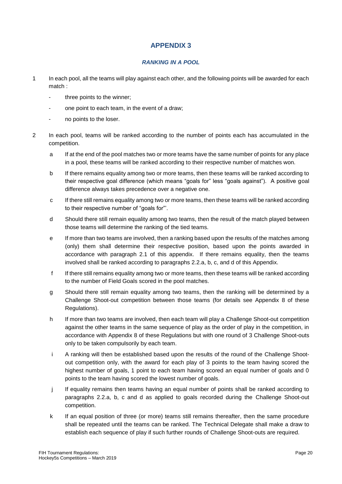# *RANKING IN A POOL*

- 1 In each pool, all the teams will play against each other, and the following points will be awarded for each match :
	- three points to the winner;
	- one point to each team, in the event of a draw;
	- no points to the loser.
- 2 In each pool, teams will be ranked according to the number of points each has accumulated in the competition.
	- a If at the end of the pool matches two or more teams have the same number of points for any place in a pool, these teams will be ranked according to their respective number of matches won.
	- b If there remains equality among two or more teams, then these teams will be ranked according to their respective goal difference (which means "goals for" less "goals against"). A positive goal difference always takes precedence over a negative one.
	- c If there still remains equality among two or more teams, then these teams will be ranked according to their respective number of "goals for"'.
	- d Should there still remain equality among two teams, then the result of the match played between those teams will determine the ranking of the tied teams.
	- e If more than two teams are involved, then a ranking based upon the results of the matches among (only) them shall determine their respective position, based upon the points awarded in accordance with paragraph 2.1 of this appendix. If there remains equality, then the teams involved shall be ranked according to paragraphs 2.2.a, b, c, and d of this Appendix.
	- f If there still remains equality among two or more teams, then these teams will be ranked according to the number of Field Goals scored in the pool matches.
	- g Should there still remain equality among two teams, then the ranking will be determined by a Challenge Shoot-out competition between those teams (for details see Appendix 8 of these Regulations).
	- h If more than two teams are involved, then each team will play a Challenge Shoot-out competition against the other teams in the same sequence of play as the order of play in the competition, in accordance with Appendix 8 of these Regulations but with one round of 3 Challenge Shoot-outs only to be taken compulsorily by each team.
	- i A ranking will then be established based upon the results of the round of the Challenge Shootout competition only, with the award for each play of 3 points to the team having scored the highest number of goals, 1 point to each team having scored an equal number of goals and 0 points to the team having scored the lowest number of goals.
	- j If equality remains then teams having an equal number of points shall be ranked according to paragraphs 2.2.a, b, c and d as applied to goals recorded during the Challenge Shoot-out competition.
	- k If an equal position of three (or more) teams still remains thereafter, then the same procedure shall be repeated until the teams can be ranked. The Technical Delegate shall make a draw to establish each sequence of play if such further rounds of Challenge Shoot-outs are required.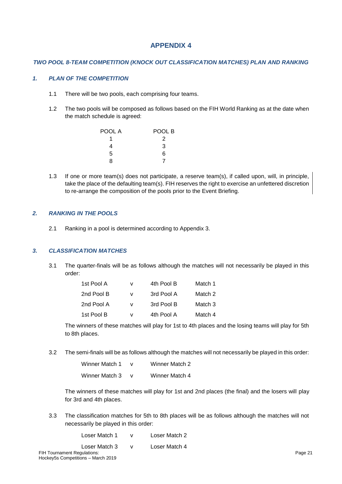### *TWO POOL 8-TEAM COMPETITION (KNOCK OUT CLASSIFICATION MATCHES) PLAN AND RANKING*

### *1. PLAN OF THE COMPETITION*

- 1.1 There will be two pools, each comprising four teams.
- 1.2 The two pools will be composed as follows based on the FIH World Ranking as at the date when the match schedule is agreed:

| POOL A | POOL B |
|--------|--------|
|        | 2      |
| 4      | 3      |
| 5      | 6      |
| 8      |        |

1.3 If one or more team(s) does not participate, a reserve team(s), if called upon, will, in principle, take the place of the defaulting team(s). FIH reserves the right to exercise an unfettered discretion to re-arrange the composition of the pools prior to the Event Briefing.

### *2. RANKING IN THE POOLS*

2.1 Ranking in a pool is determined according to Appendix 3.

# *3. CLASSIFICATION MATCHES*

3.1 The quarter-finals will be as follows although the matches will not necessarily be played in this order:

| 1st Pool A | v | 4th Pool B | Match 1 |
|------------|---|------------|---------|
| 2nd Pool B | v | 3rd Pool A | Match 2 |
| 2nd Pool A | v | 3rd Pool B | Match 3 |
| 1st Pool B | v | 4th Pool A | Match 4 |

The winners of these matches will play for 1st to 4th places and the losing teams will play for 5th to 8th places.

3.2 The semi-finals will be as follows although the matches will not necessarily be played in this order:

| Winner Match 1 | Winner Match 2 |
|----------------|----------------|
| Winner Match 3 | Winner Match 4 |

The winners of these matches will play for 1st and 2nd places (the final) and the losers will play for 3rd and 4th places.

3.3 The classification matches for 5th to 8th places will be as follows although the matches will not necessarily be played in this order:

| Loser Match 1               | Loser Match 2 |
|-----------------------------|---------------|
| Loser Match 3               | Loser Match 4 |
| purnament Regulations:      |               |
| uEo Compotitiona Marah 2010 |               |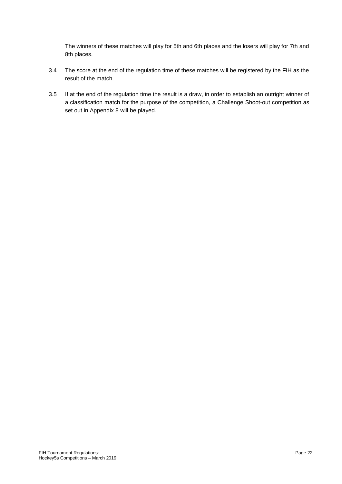The winners of these matches will play for 5th and 6th places and the losers will play for 7th and 8th places.

- 3.4 The score at the end of the regulation time of these matches will be registered by the FIH as the result of the match.
- 3.5 If at the end of the regulation time the result is a draw, in order to establish an outright winner of a classification match for the purpose of the competition, a Challenge Shoot-out competition as set out in Appendix 8 will be played.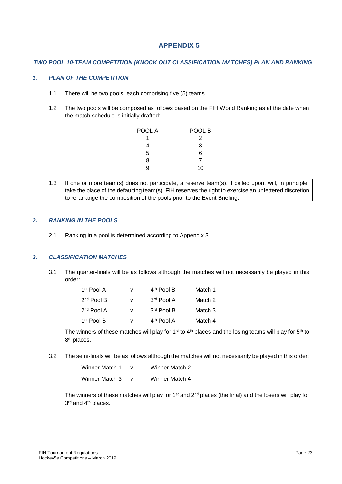### *TWO POOL 10-TEAM COMPETITION (KNOCK OUT CLASSIFICATION MATCHES) PLAN AND RANKING*

### *1. PLAN OF THE COMPETITION*

- 1.1 There will be two pools, each comprising five (5) teams.
- 1.2 The two pools will be composed as follows based on the FIH World Ranking as at the date when the match schedule is initially drafted:

| POOL A | POOL B |
|--------|--------|
|        | 2      |
| 4      | 3      |
| 5      | 6      |
| 8      | 7      |
| g      | 10     |

1.3 If one or more team(s) does not participate, a reserve team(s), if called upon, will, in principle, take the place of the defaulting team(s). FIH reserves the right to exercise an unfettered discretion to re-arrange the composition of the pools prior to the Event Briefing.

#### *2. RANKING IN THE POOLS*

2.1 Ranking in a pool is determined according to Appendix 3.

#### *3. CLASSIFICATION MATCHES*

3.1 The quarter-finals will be as follows although the matches will not necessarily be played in this order:

| 1 <sup>st</sup> Pool A | v | 4 <sup>th</sup> Pool B | Match 1 |
|------------------------|---|------------------------|---------|
| $2nd$ Pool B           | v | 3rd Pool A             | Match 2 |
| $2nd$ Pool A           | v | 3rd Pool B             | Match 3 |
| 1 <sup>st</sup> Pool B | v | 4 <sup>th</sup> Pool A | Match 4 |

The winners of these matches will play for 1<sup>st</sup> to 4<sup>th</sup> places and the losing teams will play for 5<sup>th</sup> to 8<sup>th</sup> places.

3.2 The semi-finals will be as follows although the matches will not necessarily be played in this order:

| Winner Match 1 | Winner Match 2 |
|----------------|----------------|
| Winner Match 3 | Winner Match 4 |

The winners of these matches will play for 1<sup>st</sup> and  $2<sup>nd</sup>$  places (the final) and the losers will play for 3<sup>rd</sup> and 4<sup>th</sup> places.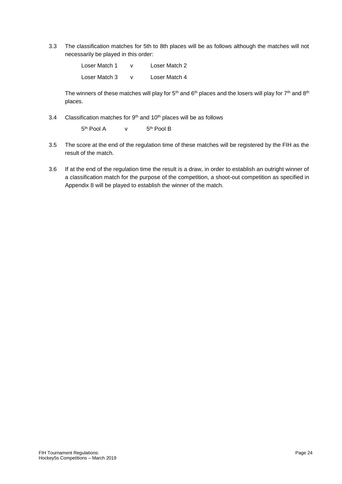3.3 The classification matches for 5th to 8th places will be as follows although the matches will not necessarily be played in this order:

> Loser Match 1 v Loser Match 2 Loser Match 3 v Loser Match 4

The winners of these matches will play for  $5<sup>th</sup>$  and  $6<sup>th</sup>$  places and the losers will play for  $7<sup>th</sup>$  and  $8<sup>th</sup>$ places.

3.4 Classification matches for  $9<sup>th</sup>$  and  $10<sup>th</sup>$  places will be as follows

5 th Pool A v 5 5<sup>th</sup> Pool B

- 3.5 The score at the end of the regulation time of these matches will be registered by the FIH as the result of the match.
- 3.6 If at the end of the regulation time the result is a draw, in order to establish an outright winner of a classification match for the purpose of the competition, a shoot-out competition as specified in Appendix 8 will be played to establish the winner of the match.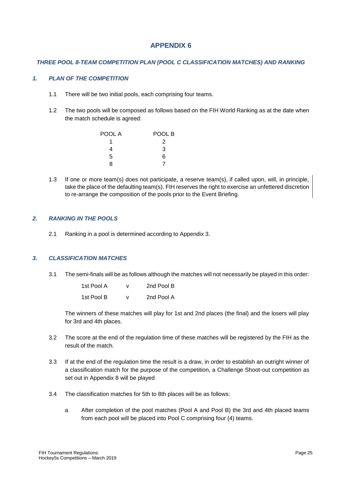### *THREE POOL 8-TEAM COMPETITION PLAN (POOL C CLASSIFICATION MATCHES) AND RANKING*

### *1. PLAN OF THE COMPETITION*

- 1.1 There will be two initial pools, each comprising four teams.
- 1.2 The two pools will be composed as follows based on the FIH World Ranking as at the date when the match schedule is agreed:

| POOL A | POOL B |
|--------|--------|
|        | 2      |
| 4      | 3      |
| 5      | 6      |
| 8      |        |

1.3 If one or more team(s) does not participate, a reserve team(s), if called upon, will, in principle, take the place of the defaulting team(s). FIH reserves the right to exercise an unfettered discretion to re-arrange the composition of the pools prior to the Event Briefing.

#### *2. RANKING IN THE POOLS*

2.1 Ranking in a pool is determined according to Appendix 3.

#### *3. CLASSIFICATION MATCHES*

3.1 The semi-finals will be as follows although the matches will not necessarily be played in this order:

| 1st Pool A | v | 2nd Pool B |
|------------|---|------------|
| 1st Pool B | v | 2nd Pool A |

The winners of these matches will play for 1st and 2nd places (the final) and the losers will play for 3rd and 4th places.

- 3.2 The score at the end of the regulation time of these matches will be registered by the FIH as the result of the match.
- 3.3 If at the end of the regulation time the result is a draw, in order to establish an outright winner of a classification match for the purpose of the competition, a Challenge Shoot-out competition as set out in Appendix 8 will be played
- 3.4 The classification matches for 5th to 8th places will be as follows:
	- a After completion of the pool matches (Pool A and Pool B) the 3rd and 4th placed teams from each pool will be placed into Pool C comprising four (4) teams.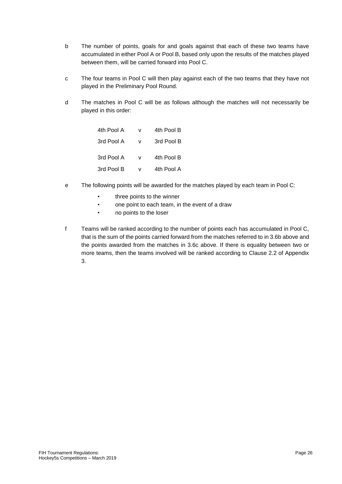- b The number of points, goals for and goals against that each of these two teams have accumulated in either Pool A or Pool B, based only upon the results of the matches played between them, will be carried forward into Pool C.
- c The four teams in Pool C will then play against each of the two teams that they have not played in the Preliminary Pool Round.
- d The matches in Pool C will be as follows although the matches will not necessarily be played in this order:

| 4th Pool A | v | 4th Pool B |
|------------|---|------------|
| 3rd Pool A | v | 3rd Pool B |
| 3rd Pool A | v | 4th Pool B |
| 3rd Pool B | v | 4th Pool A |

- e The following points will be awarded for the matches played by each team in Pool C:
	- three points to the winner
	- one point to each team, in the event of a draw
	- no points to the loser
- f Teams will be ranked according to the number of points each has accumulated in Pool C, that is the sum of the points carried forward from the matches referred to in 3.6b above and the points awarded from the matches in 3.6c above. If there is equality between two or more teams, then the teams involved will be ranked according to Clause 2.2 of Appendix 3.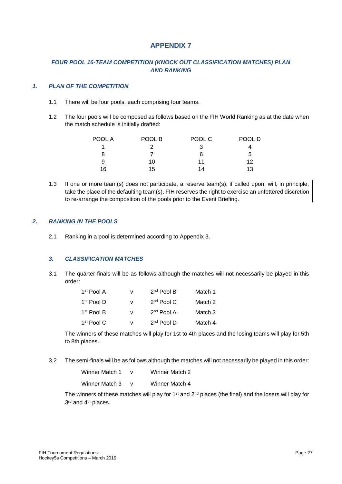# *FOUR POOL 16-TEAM COMPETITION (KNOCK OUT CLASSIFICATION MATCHES) PLAN AND RANKING*

### *1. PLAN OF THE COMPETITION*

- 1.1 There will be four pools, each comprising four teams.
- 1.2 The four pools will be composed as follows based on the FIH World Ranking as at the date when the match schedule is initially drafted:

| POOL A | POOL B | POOL C | POOL D |
|--------|--------|--------|--------|
|        |        |        |        |
| 8      |        | 6      | 5      |
| 9      | 10     | 11     | 12     |
| 16     | 15     | 14     | 13     |

1.3 If one or more team(s) does not participate, a reserve team(s), if called upon, will, in principle, take the place of the defaulting team(s). FIH reserves the right to exercise an unfettered discretion to re-arrange the composition of the pools prior to the Event Briefing.

#### *2. RANKING IN THE POOLS*

2.1 Ranking in a pool is determined according to Appendix 3.

# *3. CLASSIFICATION MATCHES*

3.1 The quarter-finals will be as follows although the matches will not necessarily be played in this order:

| 1 <sup>st</sup> Pool A | v | $2nd$ Pool B | Match 1 |
|------------------------|---|--------------|---------|
| $1st$ Pool D           | v | $2nd$ Pool C | Match 2 |
| 1 <sup>st</sup> Pool B | v | $2nd$ Pool A | Match 3 |
| 1 <sup>st</sup> Pool C | v | $2nd$ Pool D | Match 4 |

The winners of these matches will play for 1st to 4th places and the losing teams will play for 5th to 8th places.

3.2 The semi-finals will be as follows although the matches will not necessarily be played in this order:

| Winner Match 1 | Winner Match 2 |
|----------------|----------------|
| Winner Match 3 | Winner Match 4 |

The winners of these matches will play for 1<sup>st</sup> and  $2<sup>nd</sup>$  places (the final) and the losers will play for 3<sup>rd</sup> and 4<sup>th</sup> places.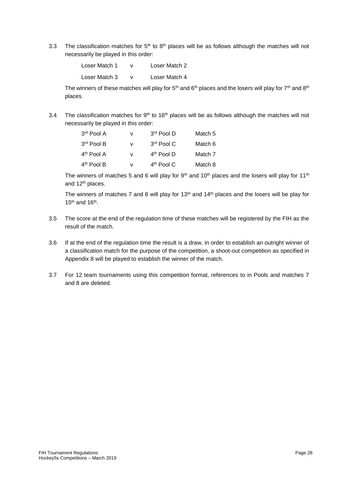3.3 The classification matches for  $5<sup>th</sup>$  to  $8<sup>th</sup>$  places will be as follows although the matches will not necessarily be played in this order:

> Loser Match 1 v Loser Match 2 Loser Match 3 v Loser Match 4

The winners of these matches will play for  $5<sup>th</sup>$  and  $6<sup>th</sup>$  places and the losers will play for  $7<sup>th</sup>$  and  $8<sup>th</sup>$ places.

3.4 The classification matches for  $9<sup>th</sup>$  to 16<sup>th</sup> places will be as follows although the matches will not necessarily be played in this order:

| 3rd Pool A             | v | 3rd Pool D             | Match 5 |
|------------------------|---|------------------------|---------|
| 3rd Pool B             | v | $3rd$ Pool C           | Match 6 |
| 4 <sup>th</sup> Pool A | v | 4 <sup>th</sup> Pool D | Match 7 |
| 4 <sup>th</sup> Pool B | v | 4 <sup>th</sup> Pool C | Match 8 |

The winners of matches 5 and 6 will play for 9th and 10<sup>th</sup> places and the losers will play for 11<sup>th</sup> and 12<sup>th</sup> places.

The winners of matches 7 and 8 will play for 13<sup>th</sup> and 14<sup>th</sup> places and the losers will be play for  $15<sup>th</sup>$  and  $16<sup>th</sup>$ .

- 3.5 The score at the end of the regulation time of these matches will be registered by the FIH as the result of the match.
- 3.6 If at the end of the regulation time the result is a draw, in order to establish an outright winner of a classification match for the purpose of the competition, a shoot-out competition as specified in Appendix 8 will be played to establish the winner of the match.
- 3.7 For 12 team tournaments using this competition format, references to in Pools and matches 7 and 8 are deleted.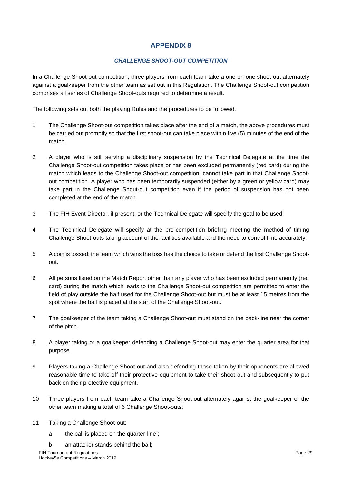# *CHALLENGE SHOOT-OUT COMPETITION*

In a Challenge Shoot-out competition, three players from each team take a one-on-one shoot-out alternately against a goalkeeper from the other team as set out in this Regulation. The Challenge Shoot-out competition comprises all series of Challenge Shoot-outs required to determine a result.

The following sets out both the playing Rules and the procedures to be followed.

- 1 The Challenge Shoot-out competition takes place after the end of a match, the above procedures must be carried out promptly so that the first shoot-out can take place within five (5) minutes of the end of the match.
- 2 A player who is still serving a disciplinary suspension by the Technical Delegate at the time the Challenge Shoot-out competition takes place or has been excluded permanently (red card) during the match which leads to the Challenge Shoot-out competition, cannot take part in that Challenge Shootout competition. A player who has been temporarily suspended (either by a green or yellow card) may take part in the Challenge Shout-out competition even if the period of suspension has not been completed at the end of the match.
- 3 The FIH Event Director, if present, or the Technical Delegate will specify the goal to be used.
- 4 The Technical Delegate will specify at the pre-competition briefing meeting the method of timing Challenge Shoot-outs taking account of the facilities available and the need to control time accurately.
- 5 A coin is tossed; the team which wins the toss has the choice to take or defend the first Challenge Shootout.
- 6 All persons listed on the Match Report other than any player who has been excluded permanently (red card) during the match which leads to the Challenge Shoot-out competition are permitted to enter the field of play outside the half used for the Challenge Shoot-out but must be at least 15 metres from the spot where the ball is placed at the start of the Challenge Shoot-out.
- 7 The goalkeeper of the team taking a Challenge Shoot-out must stand on the back-line near the corner of the pitch.
- 8 A player taking or a goalkeeper defending a Challenge Shoot-out may enter the quarter area for that purpose.
- 9 Players taking a Challenge Shoot-out and also defending those taken by their opponents are allowed reasonable time to take off their protective equipment to take their shoot-out and subsequently to put back on their protective equipment.
- 10 Three players from each team take a Challenge Shoot-out alternately against the goalkeeper of the other team making a total of 6 Challenge Shoot-outs.
- 11 Taking a Challenge Shoot-out:
	- a the ball is placed on the quarter-line ;
	- b an attacker stands behind the ball;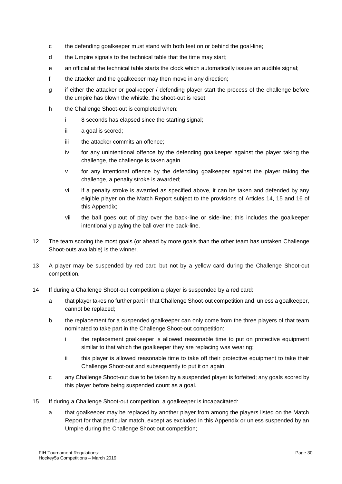- c the defending goalkeeper must stand with both feet on or behind the goal-line;
- d the Umpire signals to the technical table that the time may start;
- e an official at the technical table starts the clock which automatically issues an audible signal;
- f the attacker and the goalkeeper may then move in any direction;
- g if either the attacker or goalkeeper / defending player start the process of the challenge before the umpire has blown the whistle, the shoot-out is reset;
- h the Challenge Shoot-out is completed when:
	- i 8 seconds has elapsed since the starting signal;
	- ii a goal is scored;
	- iii the attacker commits an offence;
	- iv for any unintentional offence by the defending goalkeeper against the player taking the challenge, the challenge is taken again
	- v for any intentional offence by the defending goalkeeper against the player taking the challenge, a penalty stroke is awarded;
	- vi if a penalty stroke is awarded as specified above, it can be taken and defended by any eligible player on the Match Report subject to the provisions of Articles 14, 15 and 16 of this Appendix;
	- vii the ball goes out of play over the back-line or side-line; this includes the goalkeeper intentionally playing the ball over the back-line.
- 12 The team scoring the most goals (or ahead by more goals than the other team has untaken Challenge Shoot-outs available) is the winner.
- 13 A player may be suspended by red card but not by a yellow card during the Challenge Shoot-out competition.
- 14 If during a Challenge Shoot-out competition a player is suspended by a red card:
	- a that player takes no further part in that Challenge Shoot-out competition and, unless a goalkeeper, cannot be replaced;
	- b the replacement for a suspended goalkeeper can only come from the three players of that team nominated to take part in the Challenge Shoot-out competition:
		- i the replacement goalkeeper is allowed reasonable time to put on protective equipment similar to that which the goalkeeper they are replacing was wearing;
		- ii this player is allowed reasonable time to take off their protective equipment to take their Challenge Shoot-out and subsequently to put it on again.
	- c any Challenge Shoot-out due to be taken by a suspended player is forfeited; any goals scored by this player before being suspended count as a goal.
- 15 If during a Challenge Shoot-out competition, a goalkeeper is incapacitated:
	- a that goalkeeper may be replaced by another player from among the players listed on the Match Report for that particular match, except as excluded in this Appendix or unless suspended by an Umpire during the Challenge Shoot-out competition;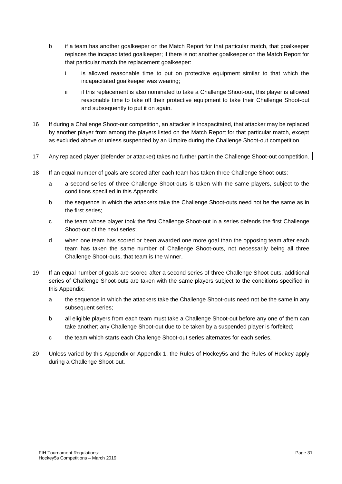- b if a team has another goalkeeper on the Match Report for that particular match, that goalkeeper replaces the incapacitated goalkeeper; if there is not another goalkeeper on the Match Report for that particular match the replacement goalkeeper:
	- i is allowed reasonable time to put on protective equipment similar to that which the incapacitated goalkeeper was wearing;
	- ii if this replacement is also nominated to take a Challenge Shoot-out, this player is allowed reasonable time to take off their protective equipment to take their Challenge Shoot-out and subsequently to put it on again.
- 16 If during a Challenge Shoot-out competition, an attacker is incapacitated, that attacker may be replaced by another player from among the players listed on the Match Report for that particular match, except as excluded above or unless suspended by an Umpire during the Challenge Shoot-out competition.
- 17 Any replaced player (defender or attacker) takes no further part in the Challenge Shoot-out competition.
- 18 If an equal number of goals are scored after each team has taken three Challenge Shoot-outs:
	- a a second series of three Challenge Shoot-outs is taken with the same players, subject to the conditions specified in this Appendix;
	- b the sequence in which the attackers take the Challenge Shoot-outs need not be the same as in the first series;
	- c the team whose player took the first Challenge Shoot-out in a series defends the first Challenge Shoot-out of the next series;
	- d when one team has scored or been awarded one more goal than the opposing team after each team has taken the same number of Challenge Shoot-outs, not necessarily being all three Challenge Shoot-outs, that team is the winner.
- 19 If an equal number of goals are scored after a second series of three Challenge Shoot-outs, additional series of Challenge Shoot-outs are taken with the same players subject to the conditions specified in this Appendix:
	- a the sequence in which the attackers take the Challenge Shoot-outs need not be the same in any subsequent series;
	- b all eligible players from each team must take a Challenge Shoot-out before any one of them can take another; any Challenge Shoot-out due to be taken by a suspended player is forfeited;
	- c the team which starts each Challenge Shoot-out series alternates for each series.
- 20 Unless varied by this Appendix or Appendix 1, the Rules of Hockey5s and the Rules of Hockey apply during a Challenge Shoot-out.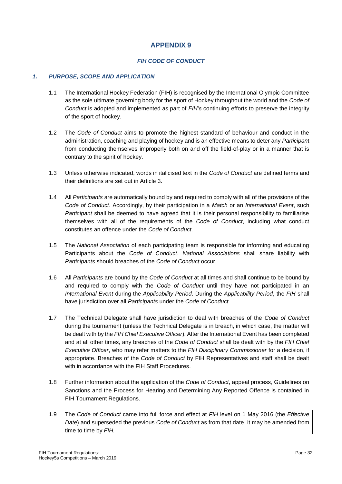# *FIH CODE OF CONDUCT*

# *1. PURPOSE, SCOPE AND APPLICATION*

- 1.1 The International Hockey Federation (FIH) is recognised by the International Olympic Committee as the sole ultimate governing body for the sport of Hockey throughout the world and the *Code of Conduct* is adopted and implemented as part of *FIH's* continuing efforts to preserve the integrity of the sport of hockey.
- 1.2 The *Code of Conduct* aims to promote the highest standard of behaviour and conduct in the administration, coaching and playing of hockey and is an effective means to deter any *Participan*t from conducting themselves improperly both on and off the field-of-play or in a manner that is contrary to the spirit of hockey.
- 1.3 Unless otherwise indicated, words in italicised text in the *Code of Conduct* are defined terms and their definitions are set out in Article 3.
- 1.4 All *Participants* are automatically bound by and required to comply with all of the provisions of the *Code of Conduct*. Accordingly, by their participation in a *Match* or an *International Event*, such *Participant* shall be deemed to have agreed that it is their personal responsibility to familiarise themselves with all of the requirements of the *Code of Conduct*, including what conduct constitutes an offence under the *Code of Conduct*.
- 1.5 The *National Association* of each participating team is responsible for informing and educating Participants about the *Code of Conduct*. *National Associations* shall share liability with *Participants* should breaches of the *Code of Conduct* occur.
- 1.6 All *Participants* are bound by the *Code of Conduct* at all times and shall continue to be bound by and required to comply with the *Code of Conduct* until they have not participated in an *International Event* during the *Applicability Period*. During the *Applicability Period*, the *FIH* shall have jurisdiction over all *Participants* under the *Code of Conduct*.
- 1.7 The Technical Delegate shall have jurisdiction to deal with breaches of the *Code of Conduct*  during the tournament (unless the Technical Delegate is in breach, in which case, the matter will be dealt with by the *FIH Chief Executive Officer*). After the International Event has been completed and at all other times, any breaches of the *Code of Conduct* shall be dealt with by the *FIH Chief Executive Officer*, who may refer matters to the *FIH Disciplinary Commissioner* for a decision, if appropriate. Breaches of the *Code of Conduct* by FIH Representatives and staff shall be dealt with in accordance with the FIH Staff Procedures.
- 1.8 Further information about the application of the *Code of Conduct*, appeal process, Guidelines on Sanctions and the Process for Hearing and Determining Any Reported Offence is contained in FIH Tournament Regulations.
- 1.9 The *Code of Conduct* came into full force and effect at *FIH* level on 1 May 2016 (the *Effective Date*) and superseded the previous *Code of Conduct* as from that date. It may be amended from time to time by *FIH.*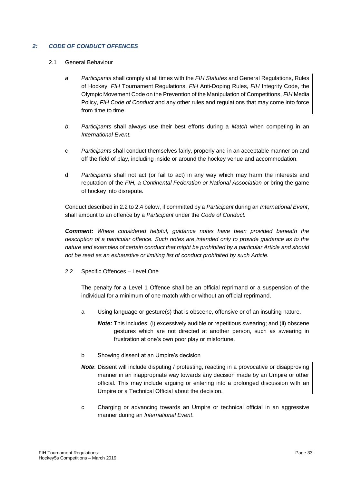# *2: CODE OF CONDUCT OFFENCES*

- 2.1 General Behaviour
	- *a Participants* shall comply at all times with the *FIH Statutes* and General Regulations, Rules of Hockey, *FIH* Tournament Regulations, *FIH* Anti-Doping Rules, *FIH* Integrity Code, the Olympic Movement Code on the Prevention of the Manipulation of Competitions, *FIH* Media Policy, *FIH Code of Conduct* and any other rules and regulations that may come into force from time to time.
	- *b Participants* shall always use their best efforts during a *Match* when competing in an *International Event.*
	- c *Participants* shall conduct themselves fairly, properly and in an acceptable manner on and off the field of play, including inside or around the hockey venue and accommodation.
	- d *Participants* shall not act (or fail to act) in any way which may harm the interests and reputation of the *FIH, a Continental Federation or National Association* or bring the game of hockey into disrepute.

Conduct described in 2.2 to 2.4 below, if committed by a *Participant* during an *International Event*, shall amount to an offence by a *Participant* under the *Code of Conduct.*

*Comment: Where considered helpful, guidance notes have been provided beneath the description of a particular offence. Such notes are intended only to provide guidance as to the nature and examples of certain conduct that might be prohibited by a particular Article and should not be read as an exhaustive or limiting list of conduct prohibited by such Article.* 

2.2 Specific Offences – Level One

The penalty for a Level 1 Offence shall be an official reprimand or a suspension of the individual for a minimum of one match with or without an official reprimand.

- a Using language or gesture(s) that is obscene, offensive or of an insulting nature.
	- *Note:* This includes: (i) excessively audible or repetitious swearing; and (ii) obscene gestures which are not directed at another person, such as swearing in frustration at one's own poor play or misfortune.
- b Showing dissent at an Umpire's decision
- **Note:** Dissent will include disputing / protesting, reacting in a provocative or disapproving manner in an inappropriate way towards any decision made by an Umpire or other official. This may include arguing or entering into a prolonged discussion with an Umpire or a Technical Official about the decision.
- c Charging or advancing towards an Umpire or technical official in an aggressive manner during an *International Event*.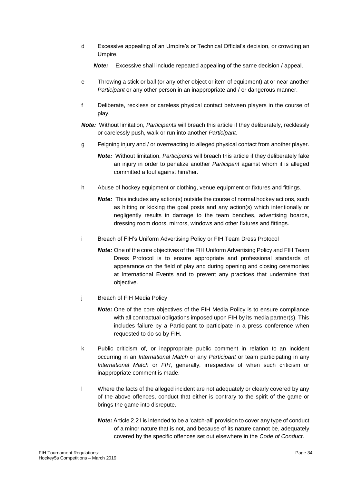d Excessive appealing of an Umpire's or Technical Official's decision, or crowding an Umpire.

*Note:* Excessive shall include repeated appealing of the same decision / appeal.

- e Throwing a stick or ball (or any other object or item of equipment) at or near another *Participant* or any other person in an inappropriate and / or dangerous manner.
- f Deliberate, reckless or careless physical contact between players in the course of play.
- *Note:* Without limitation, *Participants* will breach this article if they deliberately, recklessly or carelessly push, walk or run into another *Participant*.
- g Feigning injury and / or overreacting to alleged physical contact from another player.
	- *Note:* Without limitation, *Participants* will breach this article if they deliberately fake an injury in order to penalize another *Participant* against whom it is alleged committed a foul against him/her.
- h Abuse of hockey equipment or clothing, venue equipment or fixtures and fittings.
	- **Note:** This includes any action(s) outside the course of normal hockey actions, such as hitting or kicking the goal posts and any action(s) which intentionally or negligently results in damage to the team benches, advertising boards, dressing room doors, mirrors, windows and other fixtures and fittings.
- i Breach of FIH's Uniform Advertising Policy or FIH Team Dress Protocol
	- *Note:* One of the core objectives of the FIH Uniform Advertising Policy and FIH Team Dress Protocol is to ensure appropriate and professional standards of appearance on the field of play and during opening and closing ceremonies at International Events and to prevent any practices that undermine that objective.
- j Breach of FIH Media Policy
	- *Note:* One of the core objectives of the FIH Media Policy is to ensure compliance with all contractual obligations imposed upon FIH by its media partner(s). This includes failure by a Participant to participate in a press conference when requested to do so by FIH.
- k Public criticism of, or inappropriate public comment in relation to an incident occurring in an *International Match* or any *Participant* or team participating in any *International Match* or *FIH*, generally, irrespective of when such criticism or inappropriate comment is made.
- l Where the facts of the alleged incident are not adequately or clearly covered by any of the above offences, conduct that either is contrary to the spirit of the game or brings the game into disrepute.
	- **Note:** Article 2.2 I is intended to be a 'catch-all' provision to cover any type of conduct of a minor nature that is not, and because of its nature cannot be, adequately covered by the specific offences set out elsewhere in the *Code of Conduct*.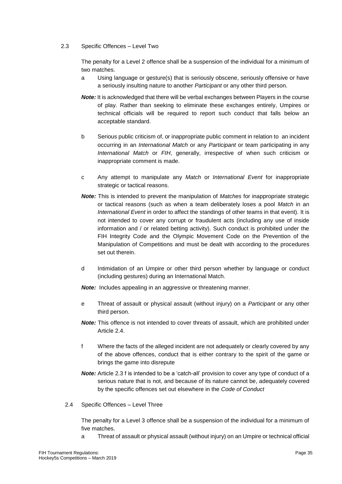# 2.3 Specific Offences – Level Two

The penalty for a Level 2 offence shall be a suspension of the individual for a minimum of two matches.

- a Using language or gesture(s) that is seriously obscene, seriously offensive or have a seriously insulting nature to another *Participant* or any other third person.
- *Note:* It is acknowledged that there will be verbal exchanges between Players in the course of play. Rather than seeking to eliminate these exchanges entirely, Umpires or technical officials will be required to report such conduct that falls below an acceptable standard.
- b Serious public criticism of, or inappropriate public comment in relation to an incident occurring in an *International Match* or any *Participant* or team participating in any *International Match* or *FIH*, generally, irrespective of when such criticism or inappropriate comment is made.
- c Any attempt to manipulate any *Match* or *International Event* for inappropriate strategic or tactical reasons.
- *Note:* This is intended to prevent the manipulation of *Matches* for inappropriate strategic or tactical reasons (such as when a team deliberately loses a pool *Match* in an *International Event* in order to affect the standings of other teams in that event). It is not intended to cover any corrupt or fraudulent acts (including any use of inside information and / or related betting activity). Such conduct is prohibited under the FIH Integrity Code and the Olympic Movement Code on the Prevention of the Manipulation of Competitions and must be dealt with according to the procedures set out therein.
- d Intimidation of an Umpire or other third person whether by language or conduct (including gestures) during an International Match.

*Note:* Includes appealing in an aggressive or threatening manner.

- e Threat of assault or physical assault (without injury) on a *Participant* or any other third person.
- **Note:** This offence is not intended to cover threats of assault, which are prohibited under Article 2.4.
- f Where the facts of the alleged incident are not adequately or clearly covered by any of the above offences, conduct that is either contrary to the spirit of the game or brings the game into disrepute
- *Note:* Article 2.3 f is intended to be a 'catch-all' provision to cover any type of conduct of a serious nature that is not, and because of its nature cannot be, adequately covered by the specific offences set out elsewhere in the *Code of Conduct*
- 2.4 Specific Offences Level Three

The penalty for a Level 3 offence shall be a suspension of the individual for a minimum of five matches.

a Threat of assault or physical assault (without injury) on an Umpire or technical official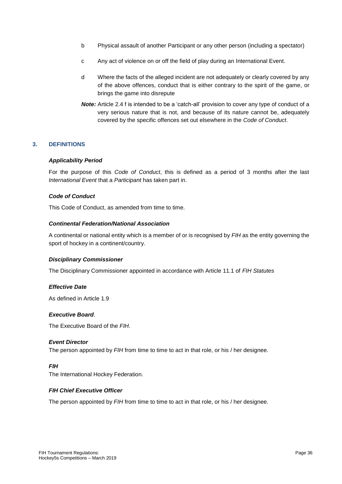- b Physical assault of another Participant or any other person (including a spectator)
- c Any act of violence on or off the field of play during an International Event.
- d Where the facts of the alleged incident are not adequately or clearly covered by any of the above offences, conduct that is either contrary to the spirit of the game, or brings the game into disrepute
- *Note:* Article 2.4 f is intended to be a 'catch-all' provision to cover any type of conduct of a very serious nature that is not, and because of its nature cannot be, adequately covered by the specific offences set out elsewhere in the *Code of Conduct*.

#### **3. DEFINITIONS**

#### *Applicability Period*

For the purpose of this *Code of Conduct*, this is defined as a period of 3 months after the last *International Event* that a *Participant* has taken part in.

#### *Code of Conduct*

This Code of Conduct, as amended from time to time.

#### *Continental Federation/National Association*

A continental or national entity which is a member of or is recognised by *FIH* as the entity governing the sport of hockey in a continent/country.

#### *Disciplinary Commissioner*

The Disciplinary Commissioner appointed in accordance with Article 11.1 of *FIH Statutes*

#### *Effective Date*

As defined in Article 1.9

#### *Executive Board*.

The Executive Board of the *FIH*.

#### *Event Director*

The person appointed by *FIH* from time to time to act in that role, or his / her designee.

#### *FIH*

The International Hockey Federation.

#### *FIH Chief Executive Officer*

The person appointed by *FIH* from time to time to act in that role, or his / her designee.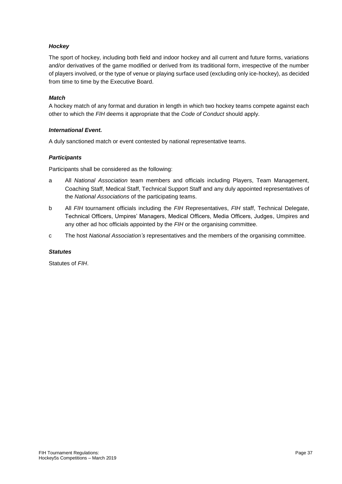# *Hockey*

The sport of hockey, including both field and indoor hockey and all current and future forms, variations and/or derivatives of the game modified or derived from its traditional form, irrespective of the number of players involved, or the type of venue or playing surface used (excluding only ice-hockey), as decided from time to time by the Executive Board.

# *Match*

A hockey match of any format and duration in length in which two hockey teams compete against each other to which the *FIH* deems it appropriate that the *Code of Conduct* should apply.

# *International Event.*

A duly sanctioned match or event contested by national representative teams.

# *Participants*

Participants shall be considered as the following:

- a All *National Association* team members and officials including Players, Team Management, Coaching Staff, Medical Staff, Technical Support Staff and any duly appointed representatives of the *National Associations* of the participating teams.
- b All *FIH* tournament officials including the *FIH* Representatives, *FIH* staff, Technical Delegate, Technical Officers, Umpires' Managers, Medical Officers, Media Officers, Judges, Umpires and any other ad hoc officials appointed by the *FIH* or the organising committee.
- c The host *National Association's* representatives and the members of the organising committee.

# *Statutes*

Statutes of *FIH*.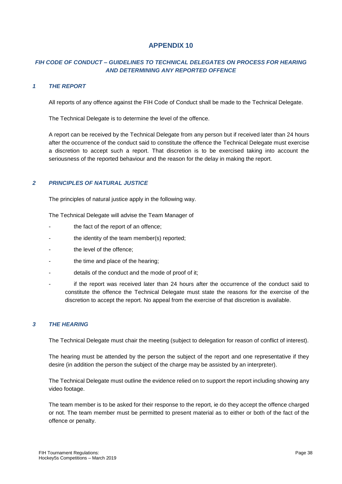# *FIH CODE OF CONDUCT – GUIDELINES TO TECHNICAL DELEGATES ON PROCESS FOR HEARING AND DETERMINING ANY REPORTED OFFENCE*

### *1 THE REPORT*

All reports of any offence against the FIH Code of Conduct shall be made to the Technical Delegate.

The Technical Delegate is to determine the level of the offence.

A report can be received by the Technical Delegate from any person but if received later than 24 hours after the occurrence of the conduct said to constitute the offence the Technical Delegate must exercise a discretion to accept such a report. That discretion is to be exercised taking into account the seriousness of the reported behaviour and the reason for the delay in making the report.

# *2 PRINCIPLES OF NATURAL JUSTICE*

The principles of natural justice apply in the following way.

The Technical Delegate will advise the Team Manager of

- the fact of the report of an offence;
- the identity of the team member(s) reported;
- the level of the offence;
- the time and place of the hearing;
- details of the conduct and the mode of proof of it;
- if the report was received later than 24 hours after the occurrence of the conduct said to constitute the offence the Technical Delegate must state the reasons for the exercise of the discretion to accept the report. No appeal from the exercise of that discretion is available.

#### *3 THE HEARING*

The Technical Delegate must chair the meeting (subject to delegation for reason of conflict of interest).

The hearing must be attended by the person the subject of the report and one representative if they desire (in addition the person the subject of the charge may be assisted by an interpreter).

The Technical Delegate must outline the evidence relied on to support the report including showing any video footage.

The team member is to be asked for their response to the report, ie do they accept the offence charged or not. The team member must be permitted to present material as to either or both of the fact of the offence or penalty.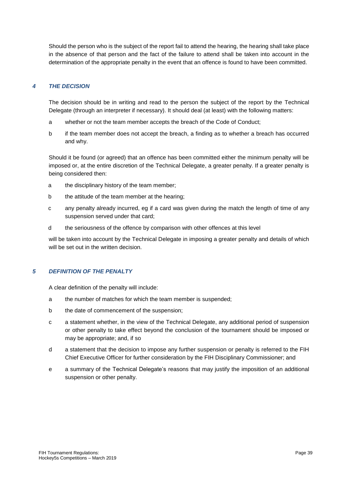Should the person who is the subject of the report fail to attend the hearing, the hearing shall take place in the absence of that person and the fact of the failure to attend shall be taken into account in the determination of the appropriate penalty in the event that an offence is found to have been committed.

# *4 THE DECISION*

The decision should be in writing and read to the person the subject of the report by the Technical Delegate (through an interpreter if necessary). It should deal (at least) with the following matters:

- a whether or not the team member accepts the breach of the Code of Conduct;
- b if the team member does not accept the breach, a finding as to whether a breach has occurred and why.

Should it be found (or agreed) that an offence has been committed either the minimum penalty will be imposed or, at the entire discretion of the Technical Delegate, a greater penalty. If a greater penalty is being considered then:

- a the disciplinary history of the team member;
- b the attitude of the team member at the hearing;
- c any penalty already incurred, eg if a card was given during the match the length of time of any suspension served under that card;
- d the seriousness of the offence by comparison with other offences at this level

will be taken into account by the Technical Delegate in imposing a greater penalty and details of which will be set out in the written decision.

# *5 DEFINITION OF THE PENALTY*

A clear definition of the penalty will include:

- a the number of matches for which the team member is suspended;
- b the date of commencement of the suspension;
- c a statement whether, in the view of the Technical Delegate, any additional period of suspension or other penalty to take effect beyond the conclusion of the tournament should be imposed or may be appropriate; and, if so
- d a statement that the decision to impose any further suspension or penalty is referred to the FIH Chief Executive Officer for further consideration by the FIH Disciplinary Commissioner; and
- e a summary of the Technical Delegate's reasons that may justify the imposition of an additional suspension or other penalty.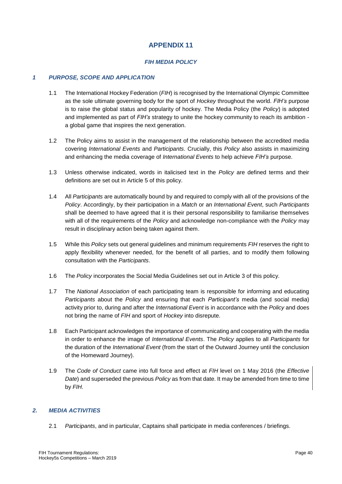# *FIH MEDIA POLICY*

# *1 PURPOSE, SCOPE AND APPLICATION*

- 1.1 The International Hockey Federation (*FIH*) is recognised by the International Olympic Committee as the sole ultimate governing body for the sport of *Hockey* throughout the world. *FIH's* purpose is to raise the global status and popularity of hockey. The Media Policy (the *Policy*) is adopted and implemented as part of *FIH's* strategy to unite the hockey community to reach its ambition a global game that inspires the next generation.
- 1.2 The Policy aims to assist in the management of the relationship between the accredited media covering *International Events* and *Participants*. Crucially, this *Policy* also assists in maximizing and enhancing the media coverage of *International Events* to help achieve *FIH's* purpose.
- 1.3 Unless otherwise indicated, words in italicised text in the *Policy* are defined terms and their definitions are set out in Article 5 of this policy.
- 1.4 All *Participants* are automatically bound by and required to comply with all of the provisions of the *Policy*. Accordingly, by their participation in a *Match* or an *International Event*, such *Participants*  shall be deemed to have agreed that it is their personal responsibility to familiarise themselves with all of the requirements of the *Policy* and acknowledge non-compliance with the *Policy* may result in disciplinary action being taken against them.
- 1.5 While this *Policy* sets out general guidelines and minimum requirements *FIH* reserves the right to apply flexibility whenever needed, for the benefit of all parties, and to modify them following consultation with the *Participants*.
- 1.6 The *Policy* incorporates the Social Media Guidelines set out in Article 3 of this policy.
- 1.7 The *National Association* of each participating team is responsible for informing and educating *Participants* about the *Policy* and ensuring that each *Participant's* media (and social media) activity prior to, during and after the *International Event* is in accordance with the *Policy* and does not bring the name of *FIH* and sport of *Hockey* into disrepute.
- 1.8 Each Participant acknowledges the importance of communicating and cooperating with the media in order to enhance the image of *International Events*. The *Policy* applies to all *Participants* for the duration of the *International Event* (from the start of the Outward Journey until the conclusion of the Homeward Journey).
- 1.9 The *Code of Conduct* came into full force and effect at *FIH* level on 1 May 2016 (the *Effective Date*) and superseded the previous *Policy* as from that date. It may be amended from time to time by *FIH.*

# *2. MEDIA ACTIVITIES*

2.1 *Participants*, and in particular, Captains shall participate in media conferences / briefings.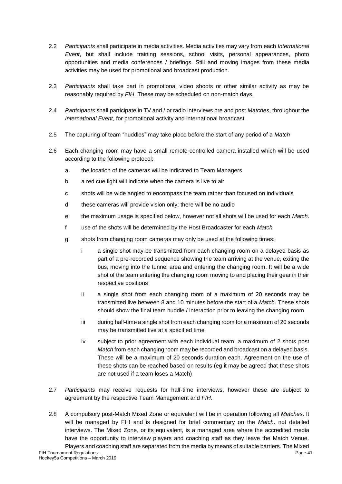- 2.2 *Participants* shall participate in media activities. Media activities may vary from each *International Event*, but shall include training sessions, school visits, personal appearances, photo opportunities and media conferences / briefings. Still and moving images from these media activities may be used for promotional and broadcast production.
- 2.3 *Participants* shall take part in promotional video shoots or other similar activity as may be reasonably required by *FIH*. These may be scheduled on non-match days.
- 2.4 *Participants* shall participate in TV and / or radio interviews pre and post *Matches*, throughout the *International Event*, for promotional activity and international broadcast*.*
- 2.5 The capturing of team "huddles" may take place before the start of any period of a *Match*
- 2.6 Each changing room may have a small remote-controlled camera installed which will be used according to the following protocol:
	- a the location of the cameras will be indicated to Team Managers
	- b a red cue light will indicate when the camera is live to air
	- c shots will be wide angled to encompass the team rather than focused on individuals
	- d these cameras will provide vision only; there will be no audio
	- e the maximum usage is specified below, however not all shots will be used for each *Match*.
	- f use of the shots will be determined by the Host Broadcaster for each *Match*
	- g shots from changing room cameras may only be used at the following times:
		- i a single shot may be transmitted from each changing room on a delayed basis as part of a pre-recorded sequence showing the team arriving at the venue, exiting the bus, moving into the tunnel area and entering the changing room. It will be a wide shot of the team entering the changing room moving to and placing their gear in their respective positions
		- ii a single shot from each changing room of a maximum of 20 seconds may be transmitted live between 8 and 10 minutes before the start of a *Match*. These shots should show the final team huddle / interaction prior to leaving the changing room
		- iii during half-time a single shot from each changing room for a maximum of 20 seconds may be transmitted live at a specified time
		- iv subject to prior agreement with each individual team, a maximum of 2 shots post *Match* from each changing room may be recorded and broadcast on a delayed basis. These will be a maximum of 20 seconds duration each. Agreement on the use of these shots can be reached based on results (eg it may be agreed that these shots are not used if a team loses a Match)
- 2.7 *Participants* may receive requests for half-time interviews, however these are subject to agreement by the respective Team Management and *FIH*.
- 2.8 A compulsory post-Match Mixed Zone or equivalent will be in operation following all *Matches*. It will be managed by FIH and is designed for brief commentary on the *Match,* not detailed interviews. The Mixed Zone, or its equivalent, is a managed area where the accredited media have the opportunity to interview players and coaching staff as they leave the Match Venue.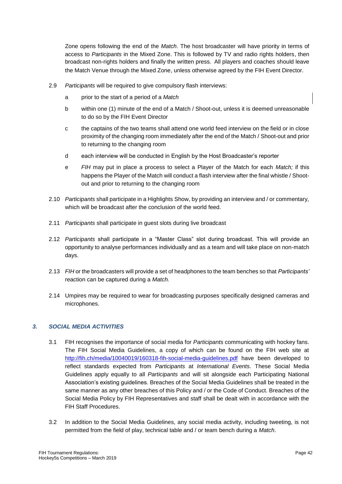Zone opens following the end of the *Match*. The host broadcaster will have priority in terms of access to *Participants* in the Mixed Zone. This is followed by TV and radio rights holders, then broadcast non-rights holders and finally the written press. All players and coaches should leave the Match Venue through the Mixed Zone, unless otherwise agreed by the FIH Event Director.

- 2.9 *Participants* will be required to give compulsory flash interviews:
	- a prior to the start of a period of a *Match*
	- b within one (1) minute of the end of a Match / Shoot-out, unless it is deemed unreasonable to do so by the FIH Event Director
	- c the captains of the two teams shall attend one world feed interview on the field or in close proximity of the changing room immediately after the end of the Match / Shoot-out and prior to returning to the changing room
	- d each interview will be conducted in English by the Host Broadcaster's reporter
	- e *FIH* may put in place a process to select a Player of the Match for each *Match;* if this happens the Player of the Match will conduct a flash interview after the final whistle / Shootout and prior to returning to the changing room
- 2.10 *Participants* shall participate in a Highlights Show, by providing an interview and / or commentary, which will be broadcast after the conclusion of the world feed.
- 2.11 *Participants* shall participate in guest slots during live broadcast
- 2.12 *Participants* shall participate in a "Master Class" slot during broadcast. This will provide an opportunity to analyse performances individually and as a team and will take place on non-match days.
- 2.13 *FIH* or the broadcasters will provide a set of headphones to the team benches so that *Participants'*  reaction can be captured during a *Match.*
- 2.14 Umpires may be required to wear for broadcasting purposes specifically designed cameras and microphones.

# *3. SOCIAL MEDIA ACTIVITIES*

- 3.1 FIH recognises the importance of social media for *Participants* communicating with hockey fans. The FIH Social Media Guidelines, a copy of which can be found on the FIH web site at <http://fih.ch/media/10040019/160318-fih-social-media-guidelines.pdf> have been developed to reflect standards expected from *Participants* at *International Events*. These Social Media Guidelines apply equally to all *Participants* and will sit alongside each Participating National Association's existing guidelines. Breaches of the Social Media Guidelines shall be treated in the same manner as any other breaches of this Policy and / or the Code of Conduct. Breaches of the Social Media Policy by FIH Representatives and staff shall be dealt with in accordance with the FIH Staff Procedures.
- 3.2 In addition to the Social Media Guidelines, any social media activity, including tweeting, is not permitted from the field of play, technical table and / or team bench during a *Match*.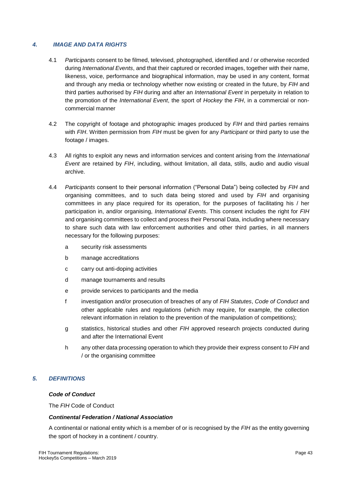# *4. IMAGE AND DATA RIGHTS*

- 4.1 *Participants* consent to be filmed, televised, photographed, identified and / or otherwise recorded during *International Events*, and that their captured or recorded images, together with their name, likeness, voice, performance and biographical information, may be used in any content, format and through any media or technology whether now existing or created in the future, by *FIH* and third parties authorised by *FIH* during and after an *International Event* in perpetuity in relation to the promotion of the *International Event*, the sport of *Hockey* the *FIH*, in a commercial or noncommercial manner
- 4.2 The copyright of footage and photographic images produced by *FIH* and third parties remains with *FIH*. Written permission from *FIH* must be given for any *Participant* or third party to use the footage / images.
- 4.3 All rights to exploit any news and information services and content arising from the *International Event* are retained by *FIH*, including, without limitation, all data, stills, audio and audio visual archive.
- 4.4 *Participants* consent to their personal information ("Personal Data") being collected by *FIH* and organising committees, and to such data being stored and used by *FIH* and organising committees in any place required for its operation, for the purposes of facilitating his / her participation in, and/or organising, *International Events*. This consent includes the right for *FIH* and organising committees to collect and process their Personal Data, including where necessary to share such data with law enforcement authorities and other third parties, in all manners necessary for the following purposes:
	- a security risk assessments
	- b manage accreditations
	- c carry out anti-doping activities
	- d manage tournaments and results
	- e provide services to participants and the media
	- f investigation and/or prosecution of breaches of any of *FIH Statutes*, *Code of Conduct* and other applicable rules and regulations (which may require, for example, the collection relevant information in relation to the prevention of the manipulation of competitions);
	- g statistics, historical studies and other *FIH* approved research projects conducted during and after the International Event
	- h any other data processing operation to which they provide their express consent to *FIH* and / or the organising committee

# *5. DEFINITIONS*

#### *Code of Conduct*

The *FIH* Code of Conduct

# *Continental Federation / National Association*

A continental or national entity which is a member of or is recognised by the *FIH* as the entity governing the sport of hockey in a continent / country.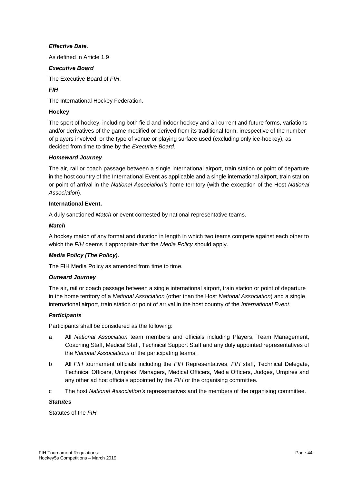# *Effective Date*.

As defined in Article 1.9

# *Executive Board*

The Executive Board of *FIH*.

# *FIH*

The International Hockey Federation.

# **Hockey**

The sport of hockey, including both field and indoor hockey and all current and future forms, variations and/or derivatives of the game modified or derived from its traditional form, irrespective of the number of players involved, or the type of venue or playing surface used (excluding only ice-hockey), as decided from time to time by the *Executive Board*.

# *Homeward Journey*

The air, rail or coach passage between a single international airport, train station or point of departure in the host country of the International Event as applicable and a single international airport, train station or point of arrival in the *National Association's* home territory (with the exception of the Host *National Association*).

#### **International Event.**

A duly sanctioned *Match* or event contested by national representative teams.

#### *Match*

A hockey match of any format and duration in length in which two teams compete against each other to which the *FIH* deems it appropriate that the *Media Policy* should apply.

# *Media Policy (The Policy).*

The FIH Media Policy as amended from time to time.

# *Outward Journey*

The air, rail or coach passage between a single international airport, train station or point of departure in the home territory of a *National Association* (other than the Host *National Association*) and a single international airport, train station or point of arrival in the host country of the *International Event*.

# *Participants*

Participants shall be considered as the following:

- a All *National Association* team members and officials including Players, Team Management, Coaching Staff, Medical Staff, Technical Support Staff and any duly appointed representatives of the *National Associations* of the participating teams.
- b All *FIH* tournament officials including the *FIH* Representatives, *FIH* staff, Technical Delegate, Technical Officers, Umpires' Managers, Medical Officers, Media Officers, Judges, Umpires and any other ad hoc officials appointed by the *FIH* or the organising committee.
- c The host *National Association's* representatives and the members of the organising committee.

#### *Statutes*

Statutes of the *FIH*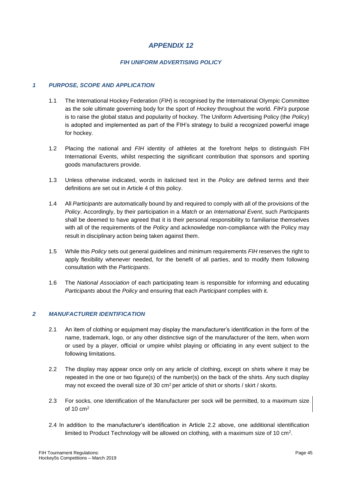# *FIH UNIFORM ADVERTISING POLICY*

# *1 PURPOSE, SCOPE AND APPLICATION*

- 1.1 The International Hockey Federation (*FIH*) is recognised by the International Olympic Committee as the sole ultimate governing body for the sport of *Hockey* throughout the world. *FIH's* purpose is to raise the global status and popularity of hockey. The Uniform Advertising Policy (the *Policy*) is adopted and implemented as part of the FIH's strategy to build a recognized powerful image for hockey.
- 1.2 Placing the national and *FIH* identity of athletes at the forefront helps to distinguish FIH International Events, whilst respecting the significant contribution that sponsors and sporting goods manufacturers provide.
- 1.3 Unless otherwise indicated, words in italicised text in the *Policy* are defined terms and their definitions are set out in Article 4 of this policy.
- 1.4 All *Participants* are automatically bound by and required to comply with all of the provisions of the *Policy*. Accordingly, by their participation in a *Match* or an *International Event*, such *Participants* shall be deemed to have agreed that it is their personal responsibility to familiarise themselves with all of the requirements of the *Policy* and acknowledge non-compliance with the Policy may result in disciplinary action being taken against them.
- 1.5 While this *Policy* sets out general guidelines and minimum requirements *FIH* reserves the right to apply flexibility whenever needed, for the benefit of all parties, and to modify them following consultation with the *Participants*.
- 1.6 The *National Association* of each participating team is responsible for informing and educating *Participants* about the *Policy* and ensuring that each *Participant* complies with it.

#### *2 MANUFACTURER IDENTIFICATION*

- 2.1 An item of clothing or equipment may display the manufacturer's identification in the form of the name, trademark, logo, or any other distinctive sign of the manufacturer of the item, when worn or used by a player, official or umpire whilst playing or officiating in any event subject to the following limitations.
- 2.2 The display may appear once only on any article of clothing, except on shirts where it may be repeated in the one or two figure(s) of the number(s) on the back of the shirts. Any such display may not exceed the overall size of 30  $cm<sup>2</sup>$  per article of shirt or shorts / skirt / skorts.
- 2.3 For socks, one Identification of the Manufacturer per sock will be permitted, to a maximum size of 10 cm<sup>2</sup>
- 2.4 In addition to the manufacturer's identification in Article 2.2 above, one additional identification limited to Product Technology will be allowed on clothing, with a maximum size of 10 cm<sup>2</sup>.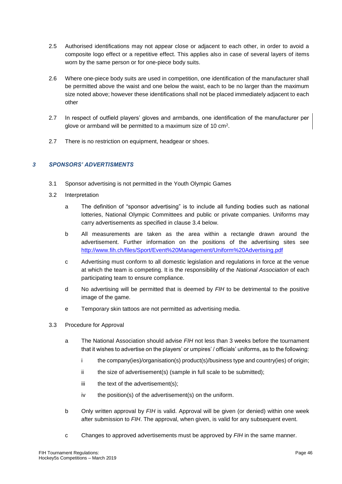- 2.5 Authorised identifications may not appear close or adjacent to each other, in order to avoid a composite logo effect or a repetitive effect. This applies also in case of several layers of items worn by the same person or for one-piece body suits.
- 2.6 Where one-piece body suits are used in competition, one identification of the manufacturer shall be permitted above the waist and one below the waist, each to be no larger than the maximum size noted above; however these identifications shall not be placed immediately adjacent to each other
- 2.7 In respect of outfield players' gloves and armbands, one identification of the manufacturer per glove or armband will be permitted to a maximum size of 10 cm<sup>2</sup>.
- 2.7 There is no restriction on equipment, headgear or shoes.

# *3 SPONSORS' ADVERTISMENTS*

- 3.1 Sponsor advertising is not permitted in the Youth Olympic Games
- 3.2 Interpretation
	- a The definition of "sponsor advertising" is to include all funding bodies such as national lotteries, National Olympic Committees and public or private companies. Uniforms may carry advertisements as specified in clause 3.4 below.
	- b All measurements are taken as the area within a rectangle drawn around the advertisement. Further information on the positions of the advertising sites see <http://www.fih.ch/files/Sport/Event%20Management/Uniform%20Advertising.pdf>
	- c Advertising must conform to all domestic legislation and regulations in force at the venue at which the team is competing. It is the responsibility of the *National Association* of each participating team to ensure compliance.
	- d No advertising will be permitted that is deemed by *FIH* to be detrimental to the positive image of the game.
	- e Temporary skin tattoos are not permitted as advertising media.
- 3.3 Procedure for Approval
	- a The National Association should advise *FIH* not less than 3 weeks before the tournament that it wishes to advertise on the players' or umpires' / officials' uniforms, as to the following:
		- i the company(ies)/organisation(s) product(s)/business type and country(ies) of origin;
		- ii the size of advertisement(s) (sample in full scale to be submitted);
		- iii the text of the advertisement(s);
		- iv the position(s) of the advertisement(s) on the uniform.
	- b Only written approval by *FIH* is valid. Approval will be given (or denied) within one week after submission to *FIH*. The approval, when given, is valid for any subsequent event.
	- c Changes to approved advertisements must be approved by *FIH* in the same manner.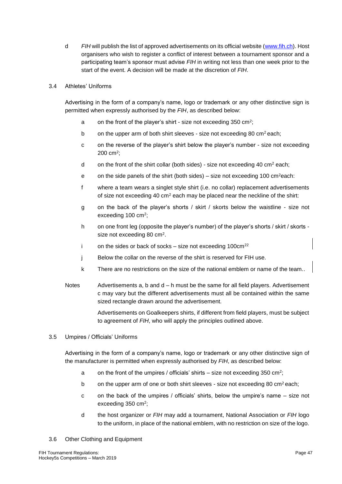d *FIH* will publish the list of approved advertisements on its official website [\(www.fih.ch\)](http://www.worldhockey.org/). Host organisers who wish to register a conflict of interest between a tournament sponsor and a participating team's sponsor must advise *FIH* in writing not less than one week prior to the start of the event. A decision will be made at the discretion of *FIH*.

# 3.4 Athletes' Uniforms

Advertising in the form of a company's name, logo or trademark or any other distinctive sign is permitted when expressly authorised by the *FIH*, as described below:

- a on the front of the player's shirt size not exceeding 350 cm<sup>2</sup>;
- b on the upper arm of both shirt sleeves size not exceeding 80 cm<sup>2</sup> each;
- c on the reverse of the player's shirt below the player's number size not exceeding 200 cm<sup>2</sup> ;
- d on the front of the shirt collar (both sides) size not exceeding 40 cm<sup>2</sup> each;
- e on the side panels of the shirt (both sides) size not exceeding 100 cm<sup>2</sup>each:
- f where a team wears a singlet style shirt (i.e. no collar) replacement advertisements of size not exceeding 40 cm<sup>2</sup> each may be placed near the neckline of the shirt:
- g on the back of the player's shorts / skirt / skorts below the waistline size not exceeding 100 cm<sup>2</sup>;
- h on one front leg (opposite the player's number) of the player's shorts / skirt / skorts size not exceeding 80 cm<sup>2</sup>.
- i on the sides or back of socks  $-$  size not exceeding 100 $cm<sup>22</sup>$
- j Below the collar on the reverse of the shirt is reserved for FIH use.
- k There are no restrictions on the size of the national emblem or name of the team..
- Notes Advertisements a, b and  $d h$  must be the same for all field players. Advertisement c may vary but the different advertisements must all be contained within the same sized rectangle drawn around the advertisement.

Advertisements on Goalkeepers shirts, if different from field players, must be subject to agreement of *FIH*, who will apply the principles outlined above.

3.5 Umpires / Officials' Uniforms

Advertising in the form of a company's name, logo or trademark or any other distinctive sign of the manufacturer is permitted when expressly authorised by *FIH*, as described below:

- a on the front of the umpires / officials' shirts  $-$  size not exceeding 350 cm<sup>2</sup>;
- b on the upper arm of one or both shirt sleeves size not exceeding 80 cm<sup>2</sup> each;
- c on the back of the umpires / officials' shirts, below the umpire's name size not exceeding 350 cm<sup>2</sup>;
- d the host organizer or *FIH* may add a tournament, National Association or *FIH* logo to the uniform, in place of the national emblem, with no restriction on size of the logo.
- 3.6 Other Clothing and Equipment